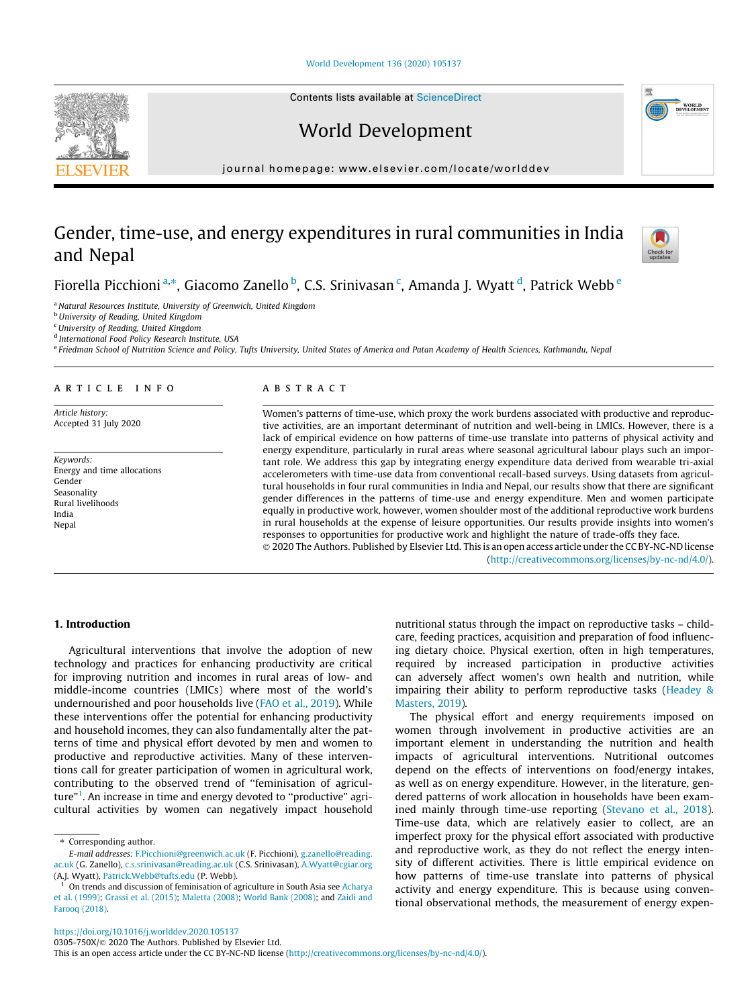[World Development 136 \(2020\) 105137](https://doi.org/10.1016/j.worlddev.2020.105137)

Contents lists available at [ScienceDirect](http://www.sciencedirect.com/science/journal/0305750X)

World Development

journal homepage: [www.elsevier.com/locate/worlddev](http://www.elsevier.com/locate/worlddev)

# Gender, time-use, and energy expenditures in rural communities in India and Nepal

Fiorella Picchioni <sup>a,</sup>\*, Giacomo Zanello <sup>b</sup>, C.S. Srinivasan <sup>c</sup>, Amanda J. Wyatt <sup>d</sup>, Patrick Webb <sup>e</sup>

<sup>a</sup> Natural Resources Institute, University of Greenwich, United Kingdom

**b** University of Reading, United Kingdom

<sup>c</sup>University of Reading, United Kingdom

<sup>d</sup> International Food Policy Research Institute, USA

e Friedman School of Nutrition Science and Policy, Tufts University, United States of America and Patan Academy of Health Sciences, Kathmandu, Nepal

# article info

Article history: Accepted 31 July 2020

Keywords: Energy and time allocations Gender Seasonality Rural livelihoods India Nepal

## **ABSTRACT**

Women's patterns of time-use, which proxy the work burdens associated with productive and reproductive activities, are an important determinant of nutrition and well-being in LMICs. However, there is a lack of empirical evidence on how patterns of time-use translate into patterns of physical activity and energy expenditure, particularly in rural areas where seasonal agricultural labour plays such an important role. We address this gap by integrating energy expenditure data derived from wearable tri-axial accelerometers with time-use data from conventional recall-based surveys. Using datasets from agricultural households in four rural communities in India and Nepal, our results show that there are significant gender differences in the patterns of time-use and energy expenditure. Men and women participate equally in productive work, however, women shoulder most of the additional reproductive work burdens in rural households at the expense of leisure opportunities. Our results provide insights into women's responses to opportunities for productive work and highlight the nature of trade-offs they face.

 2020 The Authors. Published by Elsevier Ltd. This is an open access article under the CC BY-NC-ND license (<http://creativecommons.org/licenses/by-nc-nd/4.0/>).

## 1. Introduction

Agricultural interventions that involve the adoption of new technology and practices for enhancing productivity are critical for improving nutrition and incomes in rural areas of low- and middle-income countries (LMICs) where most of the world's undernourished and poor households live ([FAO et al., 2019\)](#page-14-0). While these interventions offer the potential for enhancing productivity and household incomes, they can also fundamentally alter the patterns of time and physical effort devoted by men and women to productive and reproductive activities. Many of these interventions call for greater participation of women in agricultural work, contributing to the observed trend of ''feminisation of agriculture"<sup>1</sup>. An increase in time and energy devoted to "productive" agricultural activities by women can negatively impact household

can adversely affect women's own health and nutrition, while impairing their ability to perform reproductive tasks [\(Headey &](#page-14-0) [Masters, 2019\)](#page-14-0). The physical effort and energy requirements imposed on women through involvement in productive activities are an important element in understanding the nutrition and health impacts of agricultural interventions. Nutritional outcomes depend on the effects of interventions on food/energy intakes, as well as on energy expenditure. However, in the literature, gen-

dered patterns of work allocation in households have been examined mainly through time-use reporting ([Stevano et al., 2018\)](#page-15-0). Time-use data, which are relatively easier to collect, are an imperfect proxy for the physical effort associated with productive and reproductive work, as they do not reflect the energy intensity of different activities. There is little empirical evidence on how patterns of time-use translate into patterns of physical activity and energy expenditure. This is because using conventional observational methods, the measurement of energy expen-

nutritional status through the impact on reproductive tasks – childcare, feeding practices, acquisition and preparation of food influencing dietary choice. Physical exertion, often in high temperatures, required by increased participation in productive activities







<sup>\*</sup> Corresponding author.

E-mail addresses: [F.Picchioni@greenwich.ac.uk](mailto:F.Picchioni@greenwich.ac.uk) (F. Picchioni), [g.zanello@reading.](mailto:g.zanello@reading.ac.uk) [ac.uk](mailto:g.zanello@reading.ac.uk) (G. Zanello), [c.s.srinivasan@reading.ac.uk](mailto:c.s.srinivasan@reading.ac.uk) (C.S. Srinivasan), [A.Wyatt@cgiar.org](mailto:A.Wyatt@cgiar.org) (A.J. Wyatt), [Patrick.Webb@tufts.edu](mailto:Patrick.Webb@tufts.edu) (P. Webb).

<sup>1</sup> On trends and discussion of feminisation of agriculture in South Asia see [Acharya](#page-14-0) [et al. \(1999\);](#page-14-0) [Grassi et al. \(2015\)](#page-14-0); [Maletta \(2008\);](#page-15-0) [World Bank \(2008\);](#page-15-0) and [Zaidi and](#page-15-0) [Farooq \(2018\)](#page-15-0).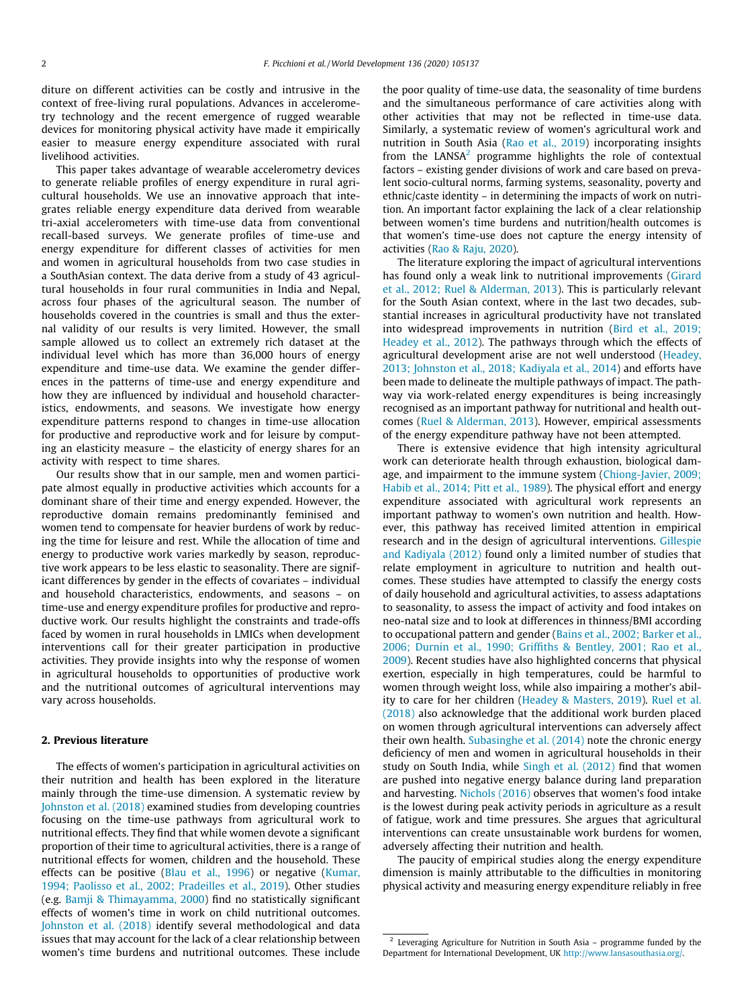diture on different activities can be costly and intrusive in the context of free-living rural populations. Advances in accelerometry technology and the recent emergence of rugged wearable devices for monitoring physical activity have made it empirically easier to measure energy expenditure associated with rural livelihood activities.

This paper takes advantage of wearable accelerometry devices to generate reliable profiles of energy expenditure in rural agricultural households. We use an innovative approach that integrates reliable energy expenditure data derived from wearable tri-axial accelerometers with time-use data from conventional recall-based surveys. We generate profiles of time-use and energy expenditure for different classes of activities for men and women in agricultural households from two case studies in a SouthAsian context. The data derive from a study of 43 agricultural households in four rural communities in India and Nepal, across four phases of the agricultural season. The number of households covered in the countries is small and thus the external validity of our results is very limited. However, the small sample allowed us to collect an extremely rich dataset at the individual level which has more than 36,000 hours of energy expenditure and time-use data. We examine the gender differences in the patterns of time-use and energy expenditure and how they are influenced by individual and household characteristics, endowments, and seasons. We investigate how energy expenditure patterns respond to changes in time-use allocation for productive and reproductive work and for leisure by computing an elasticity measure – the elasticity of energy shares for an activity with respect to time shares.

Our results show that in our sample, men and women participate almost equally in productive activities which accounts for a dominant share of their time and energy expended. However, the reproductive domain remains predominantly feminised and women tend to compensate for heavier burdens of work by reducing the time for leisure and rest. While the allocation of time and energy to productive work varies markedly by season, reproductive work appears to be less elastic to seasonality. There are significant differences by gender in the effects of covariates – individual and household characteristics, endowments, and seasons – on time-use and energy expenditure profiles for productive and reproductive work. Our results highlight the constraints and trade-offs faced by women in rural households in LMICs when development interventions call for their greater participation in productive activities. They provide insights into why the response of women in agricultural households to opportunities of productive work and the nutritional outcomes of agricultural interventions may vary across households.

#### 2. Previous literature

The effects of women's participation in agricultural activities on their nutrition and health has been explored in the literature mainly through the time-use dimension. A systematic review by [Johnston et al. \(2018\)](#page-14-0) examined studies from developing countries focusing on the time-use pathways from agricultural work to nutritional effects. They find that while women devote a significant proportion of their time to agricultural activities, there is a range of nutritional effects for women, children and the household. These effects can be positive [\(Blau et al., 1996](#page-14-0)) or negative ([Kumar,](#page-14-0) [1994; Paolisso et al., 2002; Pradeilles et al., 2019\)](#page-14-0). Other studies (e.g. [Bamji & Thimayamma, 2000](#page-14-0)) find no statistically significant effects of women's time in work on child nutritional outcomes. [Johnston et al. \(2018\)](#page-14-0) identify several methodological and data issues that may account for the lack of a clear relationship between women's time burdens and nutritional outcomes. These include the poor quality of time-use data, the seasonality of time burdens and the simultaneous performance of care activities along with other activities that may not be reflected in time-use data. Similarly, a systematic review of women's agricultural work and nutrition in South Asia ([Rao et al., 2019](#page-15-0)) incorporating insights from the LANS $A<sup>2</sup>$  programme highlights the role of contextual factors – existing gender divisions of work and care based on prevalent socio-cultural norms, farming systems, seasonality, poverty and ethnic/caste identity – in determining the impacts of work on nutrition. An important factor explaining the lack of a clear relationship between women's time burdens and nutrition/health outcomes is that women's time-use does not capture the energy intensity of activities [\(Rao & Raju, 2020\)](#page-15-0).

The literature exploring the impact of agricultural interventions has found only a weak link to nutritional improvements ([Girard](#page-14-0) [et al., 2012; Ruel & Alderman, 2013](#page-14-0)). This is particularly relevant for the South Asian context, where in the last two decades, substantial increases in agricultural productivity have not translated into widespread improvements in nutrition [\(Bird et al., 2019;](#page-14-0) [Headey et al., 2012\)](#page-14-0). The pathways through which the effects of agricultural development arise are not well understood ([Headey,](#page-14-0) [2013; Johnston et al., 2018; Kadiyala et al., 2014\)](#page-14-0) and efforts have been made to delineate the multiple pathways of impact. The pathway via work-related energy expenditures is being increasingly recognised as an important pathway for nutritional and health outcomes ([Ruel & Alderman, 2013\)](#page-15-0). However, empirical assessments of the energy expenditure pathway have not been attempted.

There is extensive evidence that high intensity agricultural work can deteriorate health through exhaustion, biological damage, and impairment to the immune system ([Chiong-Javier, 2009;](#page-14-0) [Habib et al., 2014; Pitt et al., 1989\)](#page-14-0). The physical effort and energy expenditure associated with agricultural work represents an important pathway to women's own nutrition and health. However, this pathway has received limited attention in empirical research and in the design of agricultural interventions. [Gillespie](#page-14-0) [and Kadiyala \(2012\)](#page-14-0) found only a limited number of studies that relate employment in agriculture to nutrition and health outcomes. These studies have attempted to classify the energy costs of daily household and agricultural activities, to assess adaptations to seasonality, to assess the impact of activity and food intakes on neo-natal size and to look at differences in thinness/BMI according to occupational pattern and gender [\(Bains et al., 2002; Barker et al.,](#page-14-0) [2006; Durnin et al., 1990; Griffiths & Bentley, 2001; Rao et al.,](#page-14-0) [2009\)](#page-14-0). Recent studies have also highlighted concerns that physical exertion, especially in high temperatures, could be harmful to women through weight loss, while also impairing a mother's ability to care for her children [\(Headey & Masters, 2019\)](#page-14-0). [Ruel et al.](#page-15-0) [\(2018\)](#page-15-0) also acknowledge that the additional work burden placed on women through agricultural interventions can adversely affect their own health. [Subasinghe et al. \(2014\)](#page-15-0) note the chronic energy deficiency of men and women in agricultural households in their study on South India, while [Singh et al. \(2012\)](#page-15-0) find that women are pushed into negative energy balance during land preparation and harvesting. [Nichols \(2016\)](#page-15-0) observes that women's food intake is the lowest during peak activity periods in agriculture as a result of fatigue, work and time pressures. She argues that agricultural interventions can create unsustainable work burdens for women, adversely affecting their nutrition and health.

The paucity of empirical studies along the energy expenditure dimension is mainly attributable to the difficulties in monitoring physical activity and measuring energy expenditure reliably in free

<sup>2</sup> Leveraging Agriculture for Nutrition in South Asia – programme funded by the Department for International Development, UK [http://www.lansasouthasia.org/.](http://www.lansasouthasia.org/)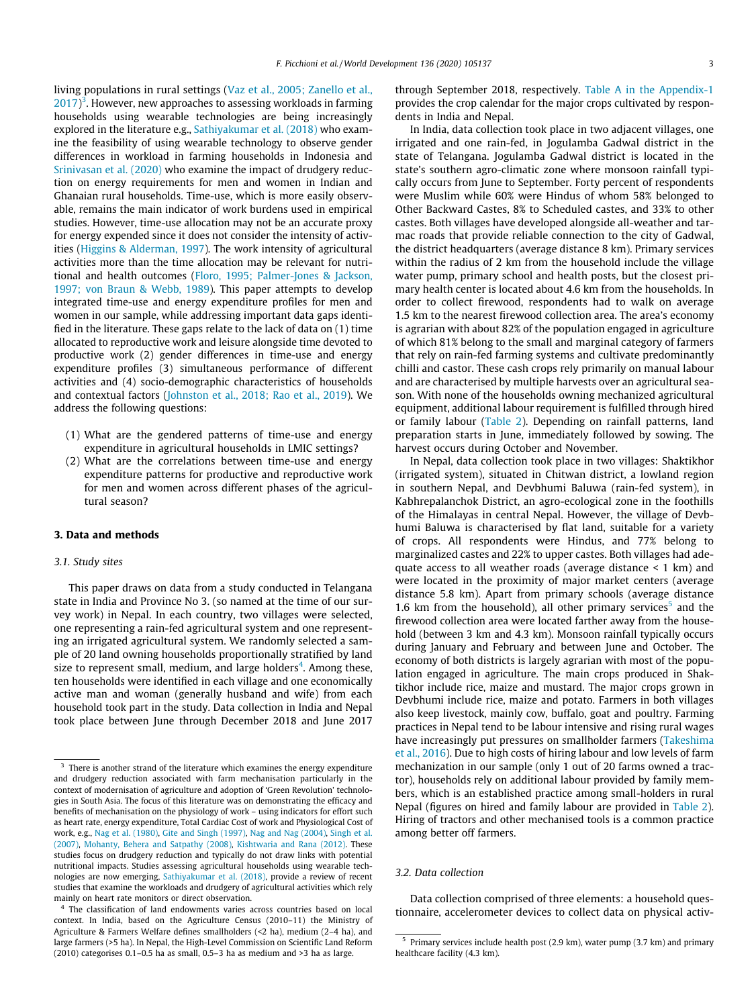living populations in rural settings [\(Vaz et al., 2005; Zanello et al.,](#page-15-0)  $2017$ <sup>3</sup>. However, new approaches to assessing workloads in farming households using wearable technologies are being increasingly explored in the literature e.g., [Sathiyakumar et al. \(2018\)](#page-15-0) who examine the feasibility of using wearable technology to observe gender differences in workload in farming households in Indonesia and [Srinivasan et al. \(2020\)](#page-15-0) who examine the impact of drudgery reduction on energy requirements for men and women in Indian and Ghanaian rural households. Time-use, which is more easily observable, remains the main indicator of work burdens used in empirical studies. However, time-use allocation may not be an accurate proxy for energy expended since it does not consider the intensity of activities ([Higgins & Alderman, 1997](#page-14-0)). The work intensity of agricultural activities more than the time allocation may be relevant for nutritional and health outcomes ([Floro, 1995; Palmer-Jones & Jackson,](#page-14-0) [1997; von Braun & Webb, 1989](#page-14-0)). This paper attempts to develop integrated time-use and energy expenditure profiles for men and women in our sample, while addressing important data gaps identified in the literature. These gaps relate to the lack of data on (1) time allocated to reproductive work and leisure alongside time devoted to productive work (2) gender differences in time-use and energy expenditure profiles (3) simultaneous performance of different activities and (4) socio-demographic characteristics of households and contextual factors ([Johnston et al., 2018; Rao et al., 2019](#page-14-0)). We address the following questions:

- (1) What are the gendered patterns of time-use and energy expenditure in agricultural households in LMIC settings?
- (2) What are the correlations between time-use and energy expenditure patterns for productive and reproductive work for men and women across different phases of the agricultural season?

## 3. Data and methods

#### 3.1. Study sites

This paper draws on data from a study conducted in Telangana state in India and Province No 3. (so named at the time of our survey work) in Nepal. In each country, two villages were selected, one representing a rain-fed agricultural system and one representing an irrigated agricultural system. We randomly selected a sample of 20 land owning households proportionally stratified by land size to represent small, medium, and large holders<sup>4</sup>. Among these, ten households were identified in each village and one economically active man and woman (generally husband and wife) from each household took part in the study. Data collection in India and Nepal took place between June through December 2018 and June 2017 through September 2018, respectively. [Table A in the Appendix-1](#page-11-0) provides the crop calendar for the major crops cultivated by respondents in India and Nepal.

In India, data collection took place in two adjacent villages, one irrigated and one rain-fed, in Jogulamba Gadwal district in the state of Telangana. Jogulamba Gadwal district is located in the state's southern agro-climatic zone where monsoon rainfall typically occurs from June to September. Forty percent of respondents were Muslim while 60% were Hindus of whom 58% belonged to Other Backward Castes, 8% to Scheduled castes, and 33% to other castes. Both villages have developed alongside all-weather and tarmac roads that provide reliable connection to the city of Gadwal, the district headquarters (average distance 8 km). Primary services within the radius of 2 km from the household include the village water pump, primary school and health posts, but the closest primary health center is located about 4.6 km from the households. In order to collect firewood, respondents had to walk on average 1.5 km to the nearest firewood collection area. The area's economy is agrarian with about 82% of the population engaged in agriculture of which 81% belong to the small and marginal category of farmers that rely on rain-fed farming systems and cultivate predominantly chilli and castor. These cash crops rely primarily on manual labour and are characterised by multiple harvests over an agricultural season. With none of the households owning mechanized agricultural equipment, additional labour requirement is fulfilled through hired or family labour [\(Table 2](#page-5-0)). Depending on rainfall patterns, land preparation starts in June, immediately followed by sowing. The harvest occurs during October and November.

In Nepal, data collection took place in two villages: Shaktikhor (irrigated system), situated in Chitwan district, a lowland region in southern Nepal, and Devbhumi Baluwa (rain-fed system), in Kabhrepalanchok District, an agro-ecological zone in the foothills of the Himalayas in central Nepal. However, the village of Devbhumi Baluwa is characterised by flat land, suitable for a variety of crops. All respondents were Hindus, and 77% belong to marginalized castes and 22% to upper castes. Both villages had adequate access to all weather roads (average distance < 1 km) and were located in the proximity of major market centers (average distance 5.8 km). Apart from primary schools (average distance 1.6 km from the household), all other primary services<sup>5</sup> and the firewood collection area were located farther away from the household (between 3 km and 4.3 km). Monsoon rainfall typically occurs during January and February and between June and October. The economy of both districts is largely agrarian with most of the population engaged in agriculture. The main crops produced in Shaktikhor include rice, maize and mustard. The major crops grown in Devbhumi include rice, maize and potato. Farmers in both villages also keep livestock, mainly cow, buffalo, goat and poultry. Farming practices in Nepal tend to be labour intensive and rising rural wages have increasingly put pressures on smallholder farmers [\(Takeshima](#page-15-0) [et al., 2016](#page-15-0)). Due to high costs of hiring labour and low levels of farm mechanization in our sample (only 1 out of 20 farms owned a tractor), households rely on additional labour provided by family members, which is an established practice among small-holders in rural Nepal (figures on hired and family labour are provided in [Table 2\)](#page-5-0). Hiring of tractors and other mechanised tools is a common practice among better off farmers.

# 3.2. Data collection

Data collection comprised of three elements: a household questionnaire, accelerometer devices to collect data on physical activ-

 $3$  There is another strand of the literature which examines the energy expenditure and drudgery reduction associated with farm mechanisation particularly in the context of modernisation of agriculture and adoption of 'Green Revolution' technologies in South Asia. The focus of this literature was on demonstrating the efficacy and benefits of mechanisation on the physiology of work – using indicators for effort such as heart rate, energy expenditure, Total Cardiac Cost of work and Physiological Cost of work, e.g., [Nag et al. \(1980\)](#page-15-0), [Gite and Singh \(1997\),](#page-14-0) [Nag and Nag \(2004\),](#page-15-0) [Singh et al.](#page-15-0) [\(2007\),](#page-15-0) [Mohanty, Behera and Satpathy \(2008\)](#page-15-0), [Kishtwaria and Rana \(2012\)](#page-14-0). These studies focus on drudgery reduction and typically do not draw links with potential nutritional impacts. Studies assessing agricultural households using wearable technologies are now emerging, [Sathiyakumar et al. \(2018\)](#page-15-0), provide a review of recent studies that examine the workloads and drudgery of agricultural activities which rely mainly on heart rate monitors or direct observation.

<sup>&</sup>lt;sup>4</sup> The classification of land endowments varies across countries based on local context. In India, based on the Agriculture Census (2010–11) the Ministry of Agriculture & Farmers Welfare defines smallholders (<2 ha), medium (2–4 ha), and large farmers (>5 ha). In Nepal, the High-Level Commission on Scientific Land Reform (2010) categorises 0.1–0.5 ha as small, 0.5–3 ha as medium and >3 ha as large.

<sup>5</sup> Primary services include health post (2.9 km), water pump (3.7 km) and primary healthcare facility (4.3 km).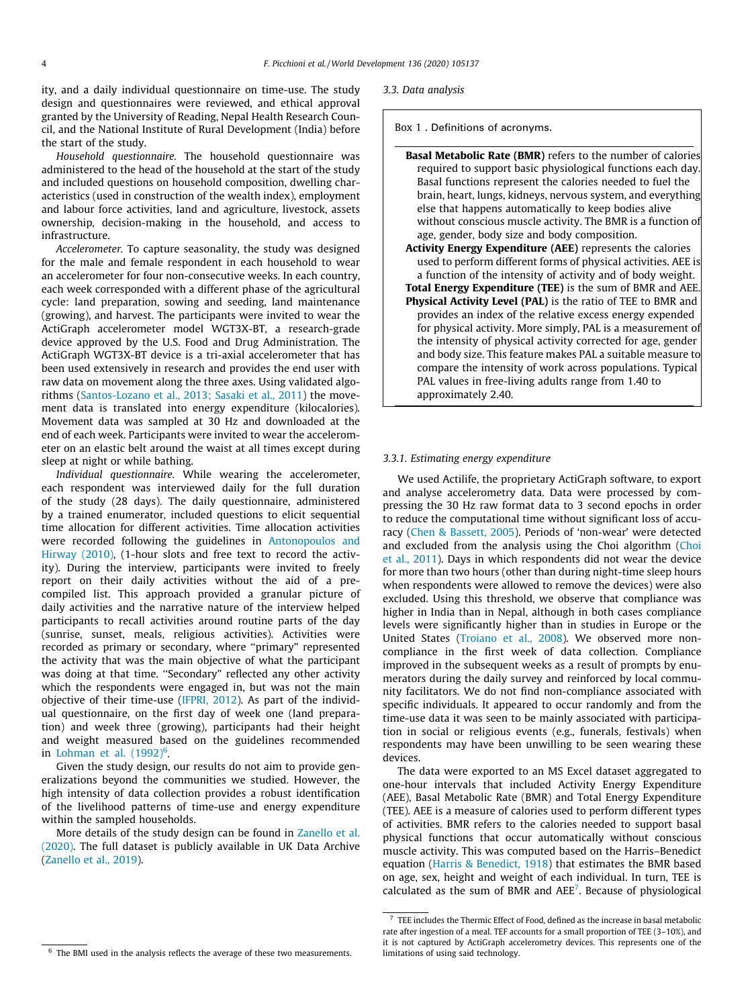ity, and a daily individual questionnaire on time-use. The study design and questionnaires were reviewed, and ethical approval granted by the University of Reading, Nepal Health Research Council, and the National Institute of Rural Development (India) before the start of the study.

Household questionnaire. The household questionnaire was administered to the head of the household at the start of the study and included questions on household composition, dwelling characteristics (used in construction of the wealth index), employment and labour force activities, land and agriculture, livestock, assets ownership, decision-making in the household, and access to infrastructure.

Accelerometer. To capture seasonality, the study was designed for the male and female respondent in each household to wear an accelerometer for four non-consecutive weeks. In each country, each week corresponded with a different phase of the agricultural cycle: land preparation, sowing and seeding, land maintenance (growing), and harvest. The participants were invited to wear the ActiGraph accelerometer model WGT3X-BT, a research-grade device approved by the U.S. Food and Drug Administration. The ActiGraph WGT3X-BT device is a tri-axial accelerometer that has been used extensively in research and provides the end user with raw data on movement along the three axes. Using validated algorithms ([Santos-Lozano et al., 2013; Sasaki et al., 2011\)](#page-15-0) the movement data is translated into energy expenditure (kilocalories). Movement data was sampled at 30 Hz and downloaded at the end of each week. Participants were invited to wear the accelerometer on an elastic belt around the waist at all times except during sleep at night or while bathing.

Individual questionnaire. While wearing the accelerometer, each respondent was interviewed daily for the full duration of the study (28 days). The daily questionnaire, administered by a trained enumerator, included questions to elicit sequential time allocation for different activities. Time allocation activities were recorded following the guidelines in [Antonopoulos and](#page-14-0) [Hirway \(2010\)](#page-14-0), (1-hour slots and free text to record the activity). During the interview, participants were invited to freely report on their daily activities without the aid of a precompiled list. This approach provided a granular picture of daily activities and the narrative nature of the interview helped participants to recall activities around routine parts of the day (sunrise, sunset, meals, religious activities). Activities were recorded as primary or secondary, where ''primary" represented the activity that was the main objective of what the participant was doing at that time. "Secondary" reflected any other activity which the respondents were engaged in, but was not the main objective of their time-use [\(IFPRI, 2012\)](#page-14-0). As part of the individual questionnaire, on the first day of week one (land preparation) and week three (growing), participants had their height and weight measured based on the guidelines recommended in Lohman et al.  $(1992)^6$ .

Given the study design, our results do not aim to provide generalizations beyond the communities we studied. However, the high intensity of data collection provides a robust identification of the livelihood patterns of time-use and energy expenditure within the sampled households.

More details of the study design can be found in [Zanello et al.](#page-15-0) [\(2020\).](#page-15-0) The full dataset is publicly available in UK Data Archive ([Zanello et al., 2019](#page-15-0)).

Box 1 . Definitions of acronyms.

Basal Metabolic Rate (BMR) refers to the number of calories required to support basic physiological functions each day. Basal functions represent the calories needed to fuel the brain, heart, lungs, kidneys, nervous system, and everything else that happens automatically to keep bodies alive without conscious muscle activity. The BMR is a function of age, gender, body size and body composition. Activity Energy Expenditure (AEE) represents the calories used to perform different forms of physical activities. AEE is a function of the intensity of activity and of body weight. Total Energy Expenditure (TEE) is the sum of BMR and AEE. Physical Activity Level (PAL) is the ratio of TEE to BMR and provides an index of the relative excess energy expended for physical activity. More simply, PAL is a measurement of the intensity of physical activity corrected for age, gender and body size. This feature makes PAL a suitable measure to compare the intensity of work across populations. Typical PAL values in free-living adults range from 1.40 to approximately 2.40.

#### 3.3.1. Estimating energy expenditure

We used Actilife, the proprietary ActiGraph software, to export and analyse accelerometry data. Data were processed by compressing the 30 Hz raw format data to 3 second epochs in order to reduce the computational time without significant loss of accuracy ([Chen & Bassett, 2005\)](#page-14-0). Periods of 'non-wear' were detected and excluded from the analysis using the Choi algorithm ([Choi](#page-14-0) [et al., 2011\)](#page-14-0). Days in which respondents did not wear the device for more than two hours (other than during night-time sleep hours when respondents were allowed to remove the devices) were also excluded. Using this threshold, we observe that compliance was higher in India than in Nepal, although in both cases compliance levels were significantly higher than in studies in Europe or the United States ([Troiano et al., 2008](#page-15-0)). We observed more noncompliance in the first week of data collection. Compliance improved in the subsequent weeks as a result of prompts by enumerators during the daily survey and reinforced by local community facilitators. We do not find non-compliance associated with specific individuals. It appeared to occur randomly and from the time-use data it was seen to be mainly associated with participation in social or religious events (e.g., funerals, festivals) when respondents may have been unwilling to be seen wearing these devices.

The data were exported to an MS Excel dataset aggregated to one-hour intervals that included Activity Energy Expenditure (AEE), Basal Metabolic Rate (BMR) and Total Energy Expenditure (TEE). AEE is a measure of calories used to perform different types of activities. BMR refers to the calories needed to support basal physical functions that occur automatically without conscious muscle activity. This was computed based on the Harris–Benedict equation ([Harris & Benedict, 1918](#page-14-0)) that estimates the BMR based on age, sex, height and weight of each individual. In turn, TEE is calculated as the sum of BMR and  $AEE<sup>7</sup>$ . Because of physiological

<sup>3.3.</sup> Data analysis

 $<sup>7</sup>$  TEE includes the Thermic Effect of Food, defined as the increase in basal metabolic</sup> rate after ingestion of a meal. TEF accounts for a small proportion of TEE (3–10%), and it is not captured by ActiGraph accelerometry devices. This represents one of the limitations of using said technology.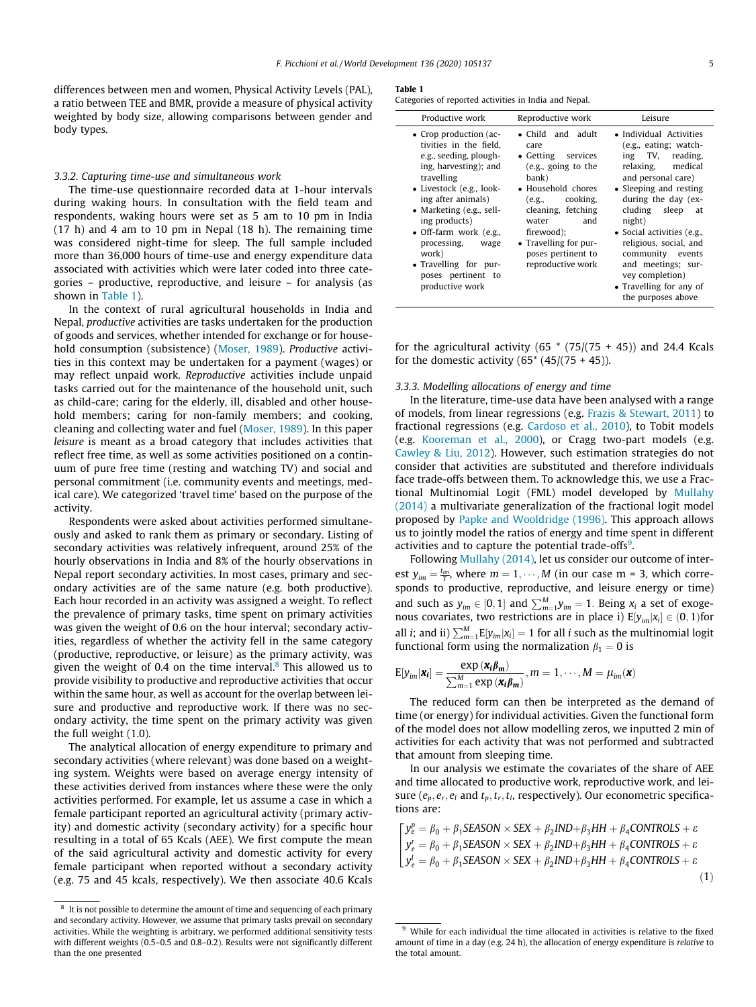<span id="page-4-0"></span>differences between men and women, Physical Activity Levels (PAL), a ratio between TEE and BMR, provide a measure of physical activity weighted by body size, allowing comparisons between gender and body types.

## 3.3.2. Capturing time-use and simultaneous work

The time-use questionnaire recorded data at 1-hour intervals during waking hours. In consultation with the field team and respondents, waking hours were set as 5 am to 10 pm in India (17 h) and 4 am to 10 pm in Nepal (18 h). The remaining time was considered night-time for sleep. The full sample included more than 36,000 hours of time-use and energy expenditure data associated with activities which were later coded into three categories – productive, reproductive, and leisure – for analysis (as shown in Table 1).

In the context of rural agricultural households in India and Nepal, productive activities are tasks undertaken for the production of goods and services, whether intended for exchange or for household consumption (subsistence) ([Moser, 1989\)](#page-15-0). Productive activities in this context may be undertaken for a payment (wages) or may reflect unpaid work. Reproductive activities include unpaid tasks carried out for the maintenance of the household unit, such as child-care; caring for the elderly, ill, disabled and other household members; caring for non-family members; and cooking, cleaning and collecting water and fuel ([Moser, 1989\)](#page-15-0). In this paper leisure is meant as a broad category that includes activities that reflect free time, as well as some activities positioned on a continuum of pure free time (resting and watching TV) and social and personal commitment (i.e. community events and meetings, medical care). We categorized 'travel time' based on the purpose of the activity.

Respondents were asked about activities performed simultaneously and asked to rank them as primary or secondary. Listing of secondary activities was relatively infrequent, around 25% of the hourly observations in India and 8% of the hourly observations in Nepal report secondary activities. In most cases, primary and secondary activities are of the same nature (e.g. both productive). Each hour recorded in an activity was assigned a weight. To reflect the prevalence of primary tasks, time spent on primary activities was given the weight of 0.6 on the hour interval; secondary activities, regardless of whether the activity fell in the same category (productive, reproductive, or leisure) as the primary activity, was given the weight of 0.4 on the time interval.<sup>8</sup> This allowed us to provide visibility to productive and reproductive activities that occur within the same hour, as well as account for the overlap between leisure and productive and reproductive work. If there was no secondary activity, the time spent on the primary activity was given the full weight (1.0).

The analytical allocation of energy expenditure to primary and secondary activities (where relevant) was done based on a weighting system. Weights were based on average energy intensity of these activities derived from instances where these were the only activities performed. For example, let us assume a case in which a female participant reported an agricultural activity (primary activity) and domestic activity (secondary activity) for a specific hour resulting in a total of 65 Kcals (AEE). We first compute the mean of the said agricultural activity and domestic activity for every female participant when reported without a secondary activity (e.g. 75 and 45 kcals, respectively). We then associate 40.6 Kcals

#### Table 1

Categories of reported activities in India and Nepal.

| Productive work                                                                                                                                                                                                                                                                                                                                | Reproductive work                                                                                                                                                                                                                                   | Leisure                                                                                                                                                                                                                                                                                                                                                                 |  |  |  |
|------------------------------------------------------------------------------------------------------------------------------------------------------------------------------------------------------------------------------------------------------------------------------------------------------------------------------------------------|-----------------------------------------------------------------------------------------------------------------------------------------------------------------------------------------------------------------------------------------------------|-------------------------------------------------------------------------------------------------------------------------------------------------------------------------------------------------------------------------------------------------------------------------------------------------------------------------------------------------------------------------|--|--|--|
| • Crop production (ac-<br>tivities in the field.<br>e.g., seeding, plough-<br>ing, harvesting); and<br>travelling<br>• Livestock (e.g., look-<br>ing after animals)<br>• Marketing (e.g., sell-<br>ing products)<br>• Off-farm work $(e.g.,$<br>processing,<br>wage<br>work)<br>• Travelling for pur-<br>poses pertinent to<br>productive work | • Child and adult<br>care<br>• Getting services<br>(e.g., going to the<br>bank)<br>• Household chores<br>cooking,<br>(e.g.,<br>cleaning, fetching<br>and<br>water<br>firewood);<br>• Travelling for pur-<br>poses pertinent to<br>reproductive work | • Individual Activities<br>(e.g., eating; watch-<br>ing TV, reading,<br>relaxing, medical<br>and personal care)<br>• Sleeping and resting<br>during the day (ex-<br>cluding sleep at<br>night)<br>• Social activities (e.g.,<br>religious, social, and<br>community<br>events<br>and meetings; sur-<br>vey completion)<br>• Travelling for any of<br>the purposes above |  |  |  |

for the agricultural activity (65  $*$  (75/(75 + 45)) and 24.4 Kcals for the domestic activity  $(65*(45)(75+45))$ .

#### 3.3.3. Modelling allocations of energy and time

In the literature, time-use data have been analysed with a range of models, from linear regressions (e.g. [Frazis & Stewart, 2011](#page-14-0)) to fractional regressions (e.g. [Cardoso et al., 2010\)](#page-14-0), to Tobit models (e.g. [Kooreman et al., 2000\)](#page-14-0), or Cragg two-part models (e.g. [Cawley & Liu, 2012](#page-14-0)). However, such estimation strategies do not consider that activities are substituted and therefore individuals face trade-offs between them. To acknowledge this, we use a Fractional Multinomial Logit (FML) model developed by [Mullahy](#page-15-0) [\(2014\)](#page-15-0) a multivariate generalization of the fractional logit model proposed by [Papke and Wooldridge \(1996\).](#page-15-0) This approach allows us to jointly model the ratios of energy and time spent in different activities and to capture the potential trade-offs<sup>9</sup>.

Following [Mullahy \(2014\),](#page-15-0) let us consider our outcome of interest  $y_{im} = \frac{t_{im}}{T}$ , where  $m = 1, \dots, M$  (in our case m = 3, which corresponds to productive, reproductive, and leisure energy or time) and such as  $y_{im} \in [0, 1]$  and  $\sum_{m=1}^{M} y_{im} = 1$ . Being  $x_i$  a set of exogenous covariates, two restrictions are in place i)  $E[y_{im}|x_i] \in (0, 1)$  for all *i*; and ii)  $\sum_{m=1}^{M} E[y_{im}|x_i] = 1$  for all *i* such as the multinomial logit functional form using the normalization  $\beta_1 = 0$  is

$$
\mathrm{E}[y_{im}|\boldsymbol{x_i}] = \frac{\exp{(\boldsymbol{x_i}\boldsymbol{\beta_m})}}{\sum_{m=1}^{M} \exp{(\boldsymbol{x_i}\boldsymbol{\beta_m})}}, m = 1, \cdots, M = \mu_{im}(\boldsymbol{x})
$$

The reduced form can then be interpreted as the demand of time (or energy) for individual activities. Given the functional form of the model does not allow modelling zeros, we inputted 2 min of activities for each activity that was not performed and subtracted that amount from sleeping time.

In our analysis we estimate the covariates of the share of AEE and time allocated to productive work, reproductive work, and leisure ( $e_p, e_r, e_l$  and  $t_p, t_r, t_l$ , respectively). Our econometric specifications are:

$$
\begin{cases}\ny_e^p = \beta_0 + \beta_1 SEASON \times SEX + \beta_2 IND + \beta_3 HH + \beta_4 CONTROLS + \varepsilon \\
y_e^r = \beta_0 + \beta_1 SEASON \times SEX + \beta_2 IND + \beta_3 HH + \beta_4 CONTROLS + \varepsilon \\
y_e^l = \beta_0 + \beta_1 SEASON \times SEX + \beta_2 IND + \beta_3 HH + \beta_4 CONTROLS + \varepsilon\n\end{cases} \tag{1}
$$

 $8<sup>8</sup>$  It is not possible to determine the amount of time and sequencing of each primary and secondary activity. However, we assume that primary tasks prevail on secondary activities. While the weighting is arbitrary, we performed additional sensitivity tests with different weights (0.5–0.5 and 0.8–0.2). Results were not significantly different than the one presented

 $9$  While for each individual the time allocated in activities is relative to the fixed amount of time in a day (e.g. 24 h), the allocation of energy expenditure is relative to the total amount.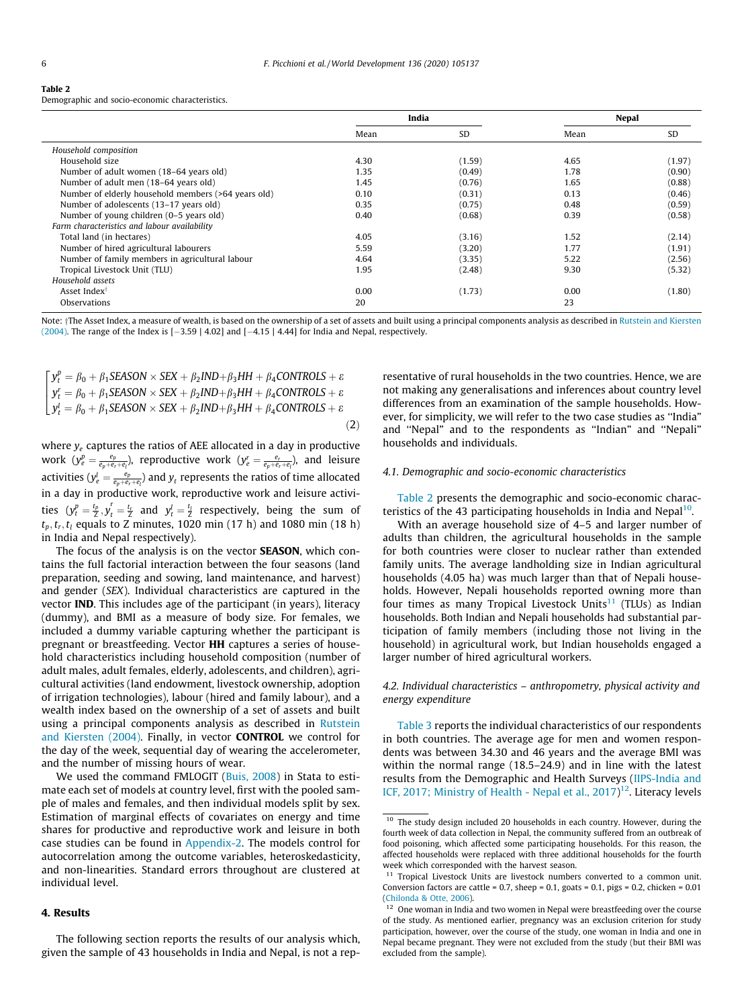#### <span id="page-5-0"></span>Table 2

Demographic and socio-economic characteristics.

|                                                     |      | India     |      | <b>Nepal</b> |
|-----------------------------------------------------|------|-----------|------|--------------|
|                                                     | Mean | <b>SD</b> | Mean | <b>SD</b>    |
| Household composition                               |      |           |      |              |
| Household size                                      | 4.30 | (1.59)    | 4.65 | (1.97)       |
| Number of adult women (18-64 years old)             | 1.35 | (0.49)    | 1.78 | (0.90)       |
| Number of adult men (18–64 years old)               | 1.45 | (0.76)    | 1.65 | (0.88)       |
| Number of elderly household members (>64 years old) | 0.10 | (0.31)    | 0.13 | (0.46)       |
| Number of adolescents (13-17 years old)             | 0.35 | (0.75)    | 0.48 | (0.59)       |
| Number of young children (0–5 years old)            | 0.40 | (0.68)    | 0.39 | (0.58)       |
| Farm characteristics and labour availability        |      |           |      |              |
| Total land (in hectares)                            | 4.05 | (3.16)    | 1.52 | (2.14)       |
| Number of hired agricultural labourers              | 5.59 | (3.20)    | 1.77 | (1.91)       |
| Number of family members in agricultural labour     | 4.64 | (3.35)    | 5.22 | (2.56)       |
| Tropical Livestock Unit (TLU)                       | 1.95 | (2.48)    | 9.30 | (5.32)       |
| Household assets                                    |      |           |      |              |
| Asset Index <sup>†</sup>                            | 0.00 | (1.73)    | 0.00 | (1.80)       |
| Observations                                        | 20   |           | 23   |              |

Note: †The Asset Index, a measure of wealth, is based on the ownership of a set of assets and built using a principal components analysis as described in [Rutstein and Kiersten](#page-15-0) [\(2004\).](#page-15-0) The range of the Index is  $[-3.59 \mid 4.02]$  and  $[-4.15 \mid 4.44]$  for India and Nepal, respectively.

$$
\begin{cases}\ny_t^p = \beta_0 + \beta_1 SEASON \times SEX + \beta_2 IND + \beta_3 HH + \beta_4 CONTROLS + \varepsilon \\
y_t^r = \beta_0 + \beta_1 SEASON \times SEX + \beta_2 IND + \beta_3 HH + \beta_4 CONTROLS + \varepsilon \\
y_t^l = \beta_0 + \beta_1 SEASON \times SEX + \beta_2 IND + \beta_3 HH + \beta_4 CONTROLS + \varepsilon\n\end{cases} (2)
$$

where  $y_e$  captures the ratios of AEE allocated in a day in productive work  $(y_e^p = \frac{e_p}{e_p + e_r + e_l})$ , reproductive work  $(y_e^r = \frac{e_r}{e_p + e_r + e_l})$ , and leisure activities ( $y_e^l = \frac{e_p}{e_p+e_r+e_l}$ ) and  $y_t$  represents the ratios of time allocated in a day in productive work, reproductive work and leisure activities  $(y_t^p = \frac{t_p}{Z}, y_t^r = \frac{t_r}{Z}$  and  $y_t^l = \frac{t_l}{Z}$  respectively, being the sum of  $t<sub>p</sub>, t<sub>r</sub>, t<sub>l</sub>$  equals to Z minutes, 1020 min (17 h) and 1080 min (18 h) in India and Nepal respectively).

The focus of the analysis is on the vector **SEASON**, which contains the full factorial interaction between the four seasons (land preparation, seeding and sowing, land maintenance, and harvest) and gender (SEX). Individual characteristics are captured in the vector IND. This includes age of the participant (in years), literacy (dummy), and BMI as a measure of body size. For females, we included a dummy variable capturing whether the participant is pregnant or breastfeeding. Vector HH captures a series of household characteristics including household composition (number of adult males, adult females, elderly, adolescents, and children), agricultural activities (land endowment, livestock ownership, adoption of irrigation technologies), labour (hired and family labour), and a wealth index based on the ownership of a set of assets and built using a principal components analysis as described in [Rutstein](#page-15-0) [and Kiersten \(2004\).](#page-15-0) Finally, in vector CONTROL we control for the day of the week, sequential day of wearing the accelerometer, and the number of missing hours of wear.

We used the command FMLOGIT ([Buis, 2008\)](#page-14-0) in Stata to estimate each set of models at country level, first with the pooled sample of males and females, and then individual models split by sex. Estimation of marginal effects of covariates on energy and time shares for productive and reproductive work and leisure in both case studies can be found in [Appendix-2](#page-11-0). The models control for autocorrelation among the outcome variables, heteroskedasticity, and non-linearities. Standard errors throughout are clustered at individual level.

# 4. Results

The following section reports the results of our analysis which, given the sample of 43 households in India and Nepal, is not a representative of rural households in the two countries. Hence, we are not making any generalisations and inferences about country level differences from an examination of the sample households. However, for simplicity, we will refer to the two case studies as ''India" and ''Nepal" and to the respondents as ''Indian" and ''Nepali" households and individuals.

#### 4.1. Demographic and socio-economic characteristics

Table 2 presents the demographic and socio-economic characteristics of the 43 participating households in India and Nepal<sup>10</sup>.

With an average household size of 4–5 and larger number of adults than children, the agricultural households in the sample for both countries were closer to nuclear rather than extended family units. The average landholding size in Indian agricultural households (4.05 ha) was much larger than that of Nepali households. However, Nepali households reported owning more than four times as many Tropical Livestock Units<sup>11</sup> (TLUs) as Indian households. Both Indian and Nepali households had substantial participation of family members (including those not living in the household) in agricultural work, but Indian households engaged a larger number of hired agricultural workers.

4.2. Individual characteristics – anthropometry, physical activity and energy expenditure

[Table 3](#page-6-0) reports the individual characteristics of our respondents in both countries. The average age for men and women respondents was between 34.30 and 46 years and the average BMI was within the normal range (18.5–24.9) and in line with the latest results from the Demographic and Health Surveys ([IIPS-India and](#page-14-0) [ICF, 2017; Ministry of Health - Nepal et al., 2017\)](#page-14-0)<sup>12</sup>. Literacy levels

 $10$  The study design included 20 households in each country. However, during the fourth week of data collection in Nepal, the community suffered from an outbreak of food poisoning, which affected some participating households. For this reason, the affected households were replaced with three additional households for the fourth week which corresponded with the harvest season.

 $11$  Tropical Livestock Units are livestock numbers converted to a common unit. Conversion factors are cattle =  $0.7$ , sheep =  $0.1$ , goats =  $0.1$ , pigs =  $0.2$ , chicken =  $0.01$ [\(Chilonda & Otte, 2006\)](#page-14-0).

 $12$  One woman in India and two women in Nepal were breastfeeding over the course of the study. As mentioned earlier, pregnancy was an exclusion criterion for study participation, however, over the course of the study, one woman in India and one in Nepal became pregnant. They were not excluded from the study (but their BMI was excluded from the sample).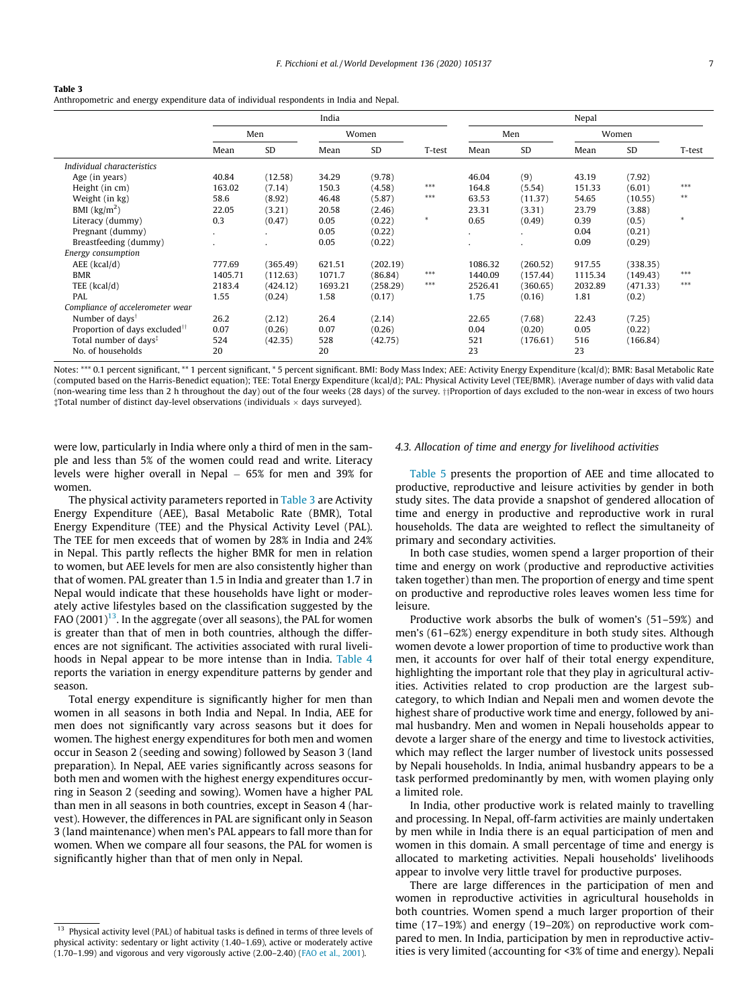#### <span id="page-6-0"></span>Table 3

Anthropometric and energy expenditure data of individual respondents in India and Nepal.

|                                           | India        |              |         |           |        | Nepal   |                |         |           |        |
|-------------------------------------------|--------------|--------------|---------|-----------|--------|---------|----------------|---------|-----------|--------|
|                                           |              | Women<br>Men |         |           |        | Men     |                | Women   |           |        |
|                                           | Mean         | <b>SD</b>    | Mean    | <b>SD</b> | T-test | Mean    | SD             | Mean    | <b>SD</b> | T-test |
| Individual characteristics                |              |              |         |           |        |         |                |         |           |        |
| Age (in years)                            | 40.84        | (12.58)      | 34.29   | (9.78)    |        | 46.04   | (9)            | 43.19   | (7.92)    |        |
| Height (in cm)                            | 163.02       | (7.14)       | 150.3   | (4.58)    | $***$  | 164.8   | (5.54)         | 151.33  | (6.01)    | $***$  |
| Weight (in kg)                            | 58.6         | (8.92)       | 46.48   | (5.87)    | $***$  | 63.53   | (11.37)        | 54.65   | (10.55)   | $***$  |
| BMI $\left(\frac{kg}{m^2}\right)$         | 22.05        | (3.21)       | 20.58   | (2.46)    |        | 23.31   | (3.31)         | 23.79   | (3.88)    |        |
| Literacy (dummy)                          | 0.3          | (0.47)       | 0.05    | (0.22)    | $\ast$ | 0.65    | (0.49)         | 0.39    | (0.5)     | $\ast$ |
| Pregnant (dummy)                          | $\mathbf{r}$ |              | 0.05    | (0.22)    |        | $\cdot$ | $\blacksquare$ | 0.04    | (0.21)    |        |
| Breastfeeding (dummy)                     |              |              | 0.05    | (0.22)    |        |         |                | 0.09    | (0.29)    |        |
| Energy consumption                        |              |              |         |           |        |         |                |         |           |        |
| $AEE$ (kcal/d)                            | 777.69       | (365.49)     | 621.51  | (202.19)  |        | 1086.32 | (260.52)       | 917.55  | (338.35)  |        |
| <b>BMR</b>                                | 1405.71      | (112.63)     | 1071.7  | (86.84)   | $***$  | 1440.09 | (157.44)       | 1115.34 | (149.43)  | ***    |
| TEE (kcal/d)                              | 2183.4       | (424.12)     | 1693.21 | (258.29)  | ***    | 2526.41 | (360.65)       | 2032.89 | (471.33)  | $***$  |
| PAL                                       | 1.55         | (0.24)       | 1.58    | (0.17)    |        | 1.75    | (0.16)         | 1.81    | (0.2)     |        |
| Compliance of accelerometer wear          |              |              |         |           |        |         |                |         |           |        |
| Number of days <sup>†</sup>               | 26.2         | (2.12)       | 26.4    | (2.14)    |        | 22.65   | (7.68)         | 22.43   | (7.25)    |        |
| Proportion of days excluded <sup>11</sup> | 0.07         | (0.26)       | 0.07    | (0.26)    |        | 0.04    | (0.20)         | 0.05    | (0.22)    |        |
| Total number of days <sup>*</sup>         | 524          | (42.35)      | 528     | (42.75)   |        | 521     | (176.61)       | 516     | (166.84)  |        |
| No. of households                         | 20           |              | 20      |           |        | 23      |                | 23      |           |        |

Notes: \*\*\* 0.1 percent significant, \*\* 1 percent significant, \* 5 percent significant. BMI: Body Mass Index; AEE: Activity Energy Expenditure (kcal/d); BMR: Basal Metabolic Rate (computed based on the Harris-Benedict equation); TEE: Total Energy Expenditure (kcal/d); PAL: Physical Activity Level (TEE/BMR). yAverage number of days with valid data (non-wearing time less than 2 h throughout the day) out of the four weeks (28 days) of the survey. ++Proportion of days excluded to the non-wear in excess of two hours  $\ddagger$ Total number of distinct day-level observations (individuals  $\times$  days surveyed).

were low, particularly in India where only a third of men in the sample and less than 5% of the women could read and write. Literacy levels were higher overall in Nepal  $-65%$  for men and 39% for women.

The physical activity parameters reported in Table 3 are Activity Energy Expenditure (AEE), Basal Metabolic Rate (BMR), Total Energy Expenditure (TEE) and the Physical Activity Level (PAL). The TEE for men exceeds that of women by 28% in India and 24% in Nepal. This partly reflects the higher BMR for men in relation to women, but AEE levels for men are also consistently higher than that of women. PAL greater than 1.5 in India and greater than 1.7 in Nepal would indicate that these households have light or moderately active lifestyles based on the classification suggested by the FAO  $(2001)^{13}$ . In the aggregate (over all seasons), the PAL for women is greater than that of men in both countries, although the differences are not significant. The activities associated with rural livelihoods in Nepal appear to be more intense than in India. [Table 4](#page-7-0) reports the variation in energy expenditure patterns by gender and season.

Total energy expenditure is significantly higher for men than women in all seasons in both India and Nepal. In India, AEE for men does not significantly vary across seasons but it does for women. The highest energy expenditures for both men and women occur in Season 2 (seeding and sowing) followed by Season 3 (land preparation). In Nepal, AEE varies significantly across seasons for both men and women with the highest energy expenditures occurring in Season 2 (seeding and sowing). Women have a higher PAL than men in all seasons in both countries, except in Season 4 (harvest). However, the differences in PAL are significant only in Season 3 (land maintenance) when men's PAL appears to fall more than for women. When we compare all four seasons, the PAL for women is significantly higher than that of men only in Nepal.

#### 4.3. Allocation of time and energy for livelihood activities

[Table 5](#page-7-0) presents the proportion of AEE and time allocated to productive, reproductive and leisure activities by gender in both study sites. The data provide a snapshot of gendered allocation of time and energy in productive and reproductive work in rural households. The data are weighted to reflect the simultaneity of primary and secondary activities.

In both case studies, women spend a larger proportion of their time and energy on work (productive and reproductive activities taken together) than men. The proportion of energy and time spent on productive and reproductive roles leaves women less time for leisure.

Productive work absorbs the bulk of women's (51–59%) and men's (61–62%) energy expenditure in both study sites. Although women devote a lower proportion of time to productive work than men, it accounts for over half of their total energy expenditure, highlighting the important role that they play in agricultural activities. Activities related to crop production are the largest subcategory, to which Indian and Nepali men and women devote the highest share of productive work time and energy, followed by animal husbandry. Men and women in Nepali households appear to devote a larger share of the energy and time to livestock activities, which may reflect the larger number of livestock units possessed by Nepali households. In India, animal husbandry appears to be a task performed predominantly by men, with women playing only a limited role.

In India, other productive work is related mainly to travelling and processing. In Nepal, off-farm activities are mainly undertaken by men while in India there is an equal participation of men and women in this domain. A small percentage of time and energy is allocated to marketing activities. Nepali households' livelihoods appear to involve very little travel for productive purposes.

There are large differences in the participation of men and women in reproductive activities in agricultural households in both countries. Women spend a much larger proportion of their time (17–19%) and energy (19–20%) on reproductive work compared to men. In India, participation by men in reproductive activities is very limited (accounting for <3% of time and energy). Nepali

<sup>&</sup>lt;sup>13</sup> Physical activity level (PAL) of habitual tasks is defined in terms of three levels of physical activity: sedentary or light activity (1.40–1.69), active or moderately active (1.70–1.99) and vigorous and very vigorously active (2.00–2.40) ([FAO et al., 2001\)](#page-14-0).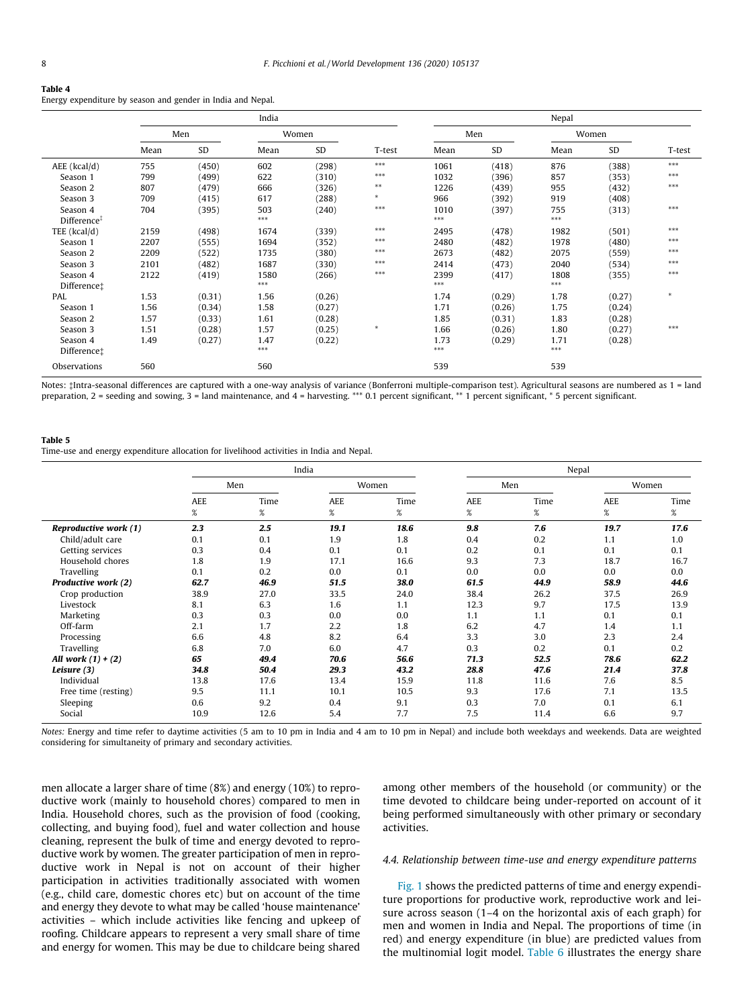#### <span id="page-7-0"></span>Table 4

Energy expenditure by season and gender in India and Nepal.

|                                     |      |           | India         |           |        |                |           | Nepal        |        |                |
|-------------------------------------|------|-----------|---------------|-----------|--------|----------------|-----------|--------------|--------|----------------|
|                                     | Men  |           | Women         |           |        | Men            |           | Women        |        |                |
|                                     | Mean | <b>SD</b> | Mean          | <b>SD</b> | T-test | Mean           | <b>SD</b> | Mean         | SD     | T-test         |
| $AEE$ (kcal/d)                      | 755  | (450)     | 602           | (298)     | $***$  | 1061           | (418)     | 876          | (388)  | $\ast\ast\ast$ |
| Season 1                            | 799  | (499)     | 622           | (310)     | $***$  | 1032           | (396)     | 857          | (353)  | $***$          |
| Season 2                            | 807  | (479)     | 666           | (326)     | $***$  | 1226           | (439)     | 955          | (432)  | $***$          |
| Season 3                            | 709  | (415)     | 617           | (288)     | $\ast$ | 966            | (392)     | 919          | (408)  |                |
| Season 4<br>Difference <sup>‡</sup> | 704  | (395)     | 503<br>$***$  | (240)     | $***$  | 1010<br>$***$  | (397)     | 755<br>$***$ | (313)  | $***$          |
| TEE $(kcal/d)$                      | 2159 | (498)     | 1674          | (339)     | $***$  | 2495           | (478)     | 1982         | (501)  | $***$          |
| Season 1                            | 2207 | (555)     | 1694          | (352)     | $***$  | 2480           | (482)     | 1978         | (480)  | $***$          |
| Season 2                            | 2209 | (522)     | 1735          | (380)     | $***$  | 2673           | (482)     | 2075         | (559)  | $***$          |
| Season 3                            | 2101 | (482)     | 1687          | (330)     | $***$  | 2414           | (473)     | 2040         | (534)  | $***$          |
| Season 4                            | 2122 | (419)     | 1580          | (266)     | $***$  | 2399           | (417)     | 1808         | (355)  | $***$          |
| Difference;                         |      |           | $***$         |           |        | $\ast\ast\ast$ |           | $***$        |        |                |
| PAL                                 | 1.53 | (0.31)    | 1.56          | (0.26)    |        | 1.74           | (0.29)    | 1.78         | (0.27) | $\ast$         |
| Season 1                            | 1.56 | (0.34)    | 1.58          | (0.27)    |        | 1.71           | (0.26)    | 1.75         | (0.24) |                |
| Season 2                            | 1.57 | (0.33)    | 1.61          | (0.28)    |        | 1.85           | (0.31)    | 1.83         | (0.28) |                |
| Season 3                            | 1.51 | (0.28)    | 1.57          | (0.25)    | $\ast$ | 1.66           | (0.26)    | 1.80         | (0.27) | $***$          |
| Season 4<br>Difference:             | 1.49 | (0.27)    | 1.47<br>$***$ | (0.22)    |        | 1.73<br>$***$  | (0.29)    | 1.71<br>***  | (0.28) |                |
| Observations                        | 560  |           | 560           |           |        | 539            |           | 539          |        |                |

Notes: #Intra-seasonal differences are captured with a one-way analysis of variance (Bonferroni multiple-comparison test). Agricultural seasons are numbered as 1 = land preparation, 2 = seeding and sowing, 3 = land maintenance, and 4 = harvesting. \*\*\* 0.1 percent significant, \*\* 1 percent significant, \* 5 percent significant.

#### Table 5

Time-use and energy expenditure allocation for livelihood activities in India and Nepal.

|                       |      |      | India   |       | Nepal      |      |            |       |  |
|-----------------------|------|------|---------|-------|------------|------|------------|-------|--|
|                       |      | Men  |         | Women |            | Men  |            | Women |  |
|                       | AEE  | Time | AEE     | Time  | <b>AEE</b> | Time | <b>AEE</b> | Time  |  |
|                       | $\%$ | %    | %       | $\%$  | $\%$       | $\%$ | $\%$       | %     |  |
| Reproductive work (1) | 2.3  | 2.5  | 19.1    | 18.6  | 9.8        | 7.6  | 19.7       | 17.6  |  |
| Child/adult care      | 0.1  | 0.1  | 1.9     | 1.8   | 0.4        | 0.2  | 1.1        | 1.0   |  |
| Getting services      | 0.3  | 0.4  | 0.1     | 0.1   | 0.2        | 0.1  | 0.1        | 0.1   |  |
| Household chores      | 1.8  | 1.9  | 17.1    | 16.6  | 9.3        | 7.3  | 18.7       | 16.7  |  |
| Travelling            | 0.1  | 0.2  | $0.0\,$ | 0.1   | 0.0        | 0.0  | 0.0        | 0.0   |  |
| Productive work (2)   | 62.7 | 46.9 | 51.5    | 38.0  | 61.5       | 44.9 | 58.9       | 44.6  |  |
| Crop production       | 38.9 | 27.0 | 33.5    | 24.0  | 38.4       | 26.2 | 37.5       | 26.9  |  |
| Livestock             | 8.1  | 6.3  | 1.6     | 1.1   | 12.3       | 9.7  | 17.5       | 13.9  |  |
| Marketing             | 0.3  | 0.3  | 0.0     | 0.0   | 1.1        | 1.1  | 0.1        | 0.1   |  |
| Off-farm              | 2.1  | 1.7  | 2.2     | 1.8   | 6.2        | 4.7  | 1.4        | 1.1   |  |
| Processing            | 6.6  | 4.8  | 8.2     | 6.4   | 3.3        | 3.0  | 2.3        | 2.4   |  |
| Travelling            | 6.8  | 7.0  | 6.0     | 4.7   | 0.3        | 0.2  | 0.1        | 0.2   |  |
| All work $(1) + (2)$  | 65   | 49.4 | 70.6    | 56.6  | 71.3       | 52.5 | 78.6       | 62.2  |  |
| Leisure (3)           | 34.8 | 50.4 | 29.3    | 43.2  | 28.8       | 47.6 | 21.4       | 37.8  |  |
| Individual            | 13.8 | 17.6 | 13.4    | 15.9  | 11.8       | 11.6 | 7.6        | 8.5   |  |
| Free time (resting)   | 9.5  | 11.1 | 10.1    | 10.5  | 9.3        | 17.6 | 7.1        | 13.5  |  |
| Sleeping              | 0.6  | 9.2  | 0.4     | 9.1   | 0.3        | 7.0  | 0.1        | 6.1   |  |
| Social                | 10.9 | 12.6 | 5.4     | 7.7   | 7.5        | 11.4 | 6.6        | 9.7   |  |

Notes: Energy and time refer to daytime activities (5 am to 10 pm in India and 4 am to 10 pm in Nepal) and include both weekdays and weekends. Data are weighted considering for simultaneity of primary and secondary activities.

men allocate a larger share of time (8%) and energy (10%) to reproductive work (mainly to household chores) compared to men in India. Household chores, such as the provision of food (cooking, collecting, and buying food), fuel and water collection and house cleaning, represent the bulk of time and energy devoted to reproductive work by women. The greater participation of men in reproductive work in Nepal is not on account of their higher participation in activities traditionally associated with women (e.g., child care, domestic chores etc) but on account of the time and energy they devote to what may be called 'house maintenance' activities – which include activities like fencing and upkeep of roofing. Childcare appears to represent a very small share of time and energy for women. This may be due to childcare being shared among other members of the household (or community) or the time devoted to childcare being under-reported on account of it being performed simultaneously with other primary or secondary activities.

### 4.4. Relationship between time-use and energy expenditure patterns

[Fig. 1](#page-8-0) shows the predicted patterns of time and energy expenditure proportions for productive work, reproductive work and leisure across season (1–4 on the horizontal axis of each graph) for men and women in India and Nepal. The proportions of time (in red) and energy expenditure (in blue) are predicted values from the multinomial logit model. [Table 6](#page-10-0) illustrates the energy share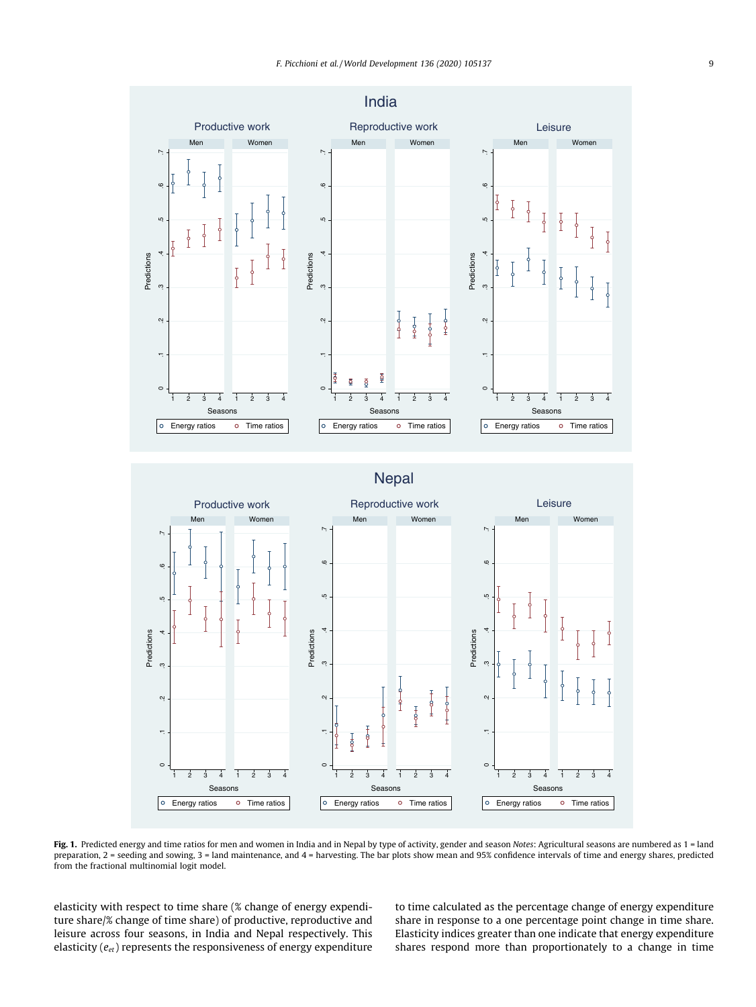<span id="page-8-0"></span>

Fig. 1. Predicted energy and time ratios for men and women in India and in Nepal by type of activity, gender and season Notes: Agricultural seasons are numbered as 1 = land preparation, 2 = seeding and sowing, 3 = land maintenance, and 4 = harvesting. The bar plots show mean and 95% confidence intervals of time and energy shares, predicted from the fractional multinomial logit model.

elasticity with respect to time share (% change of energy expenditure share/% change of time share) of productive, reproductive and leisure across four seasons, in India and Nepal respectively. This elasticity  $(e_{et})$  represents the responsiveness of energy expenditure to time calculated as the percentage change of energy expenditure share in response to a one percentage point change in time share. Elasticity indices greater than one indicate that energy expenditure shares respond more than proportionately to a change in time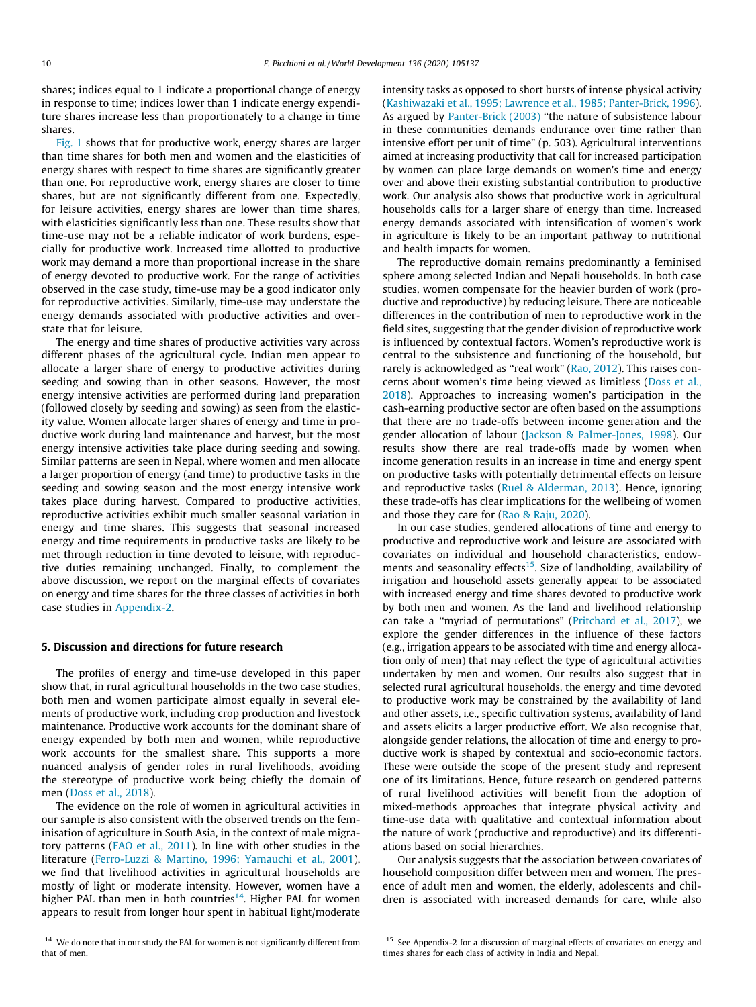shares; indices equal to 1 indicate a proportional change of energy in response to time; indices lower than 1 indicate energy expenditure shares increase less than proportionately to a change in time shares.

[Fig. 1](#page-8-0) shows that for productive work, energy shares are larger than time shares for both men and women and the elasticities of energy shares with respect to time shares are significantly greater than one. For reproductive work, energy shares are closer to time shares, but are not significantly different from one. Expectedly, for leisure activities, energy shares are lower than time shares, with elasticities significantly less than one. These results show that time-use may not be a reliable indicator of work burdens, especially for productive work. Increased time allotted to productive work may demand a more than proportional increase in the share of energy devoted to productive work. For the range of activities observed in the case study, time-use may be a good indicator only for reproductive activities. Similarly, time-use may understate the energy demands associated with productive activities and overstate that for leisure.

The energy and time shares of productive activities vary across different phases of the agricultural cycle. Indian men appear to allocate a larger share of energy to productive activities during seeding and sowing than in other seasons. However, the most energy intensive activities are performed during land preparation (followed closely by seeding and sowing) as seen from the elasticity value. Women allocate larger shares of energy and time in productive work during land maintenance and harvest, but the most energy intensive activities take place during seeding and sowing. Similar patterns are seen in Nepal, where women and men allocate a larger proportion of energy (and time) to productive tasks in the seeding and sowing season and the most energy intensive work takes place during harvest. Compared to productive activities, reproductive activities exhibit much smaller seasonal variation in energy and time shares. This suggests that seasonal increased energy and time requirements in productive tasks are likely to be met through reduction in time devoted to leisure, with reproductive duties remaining unchanged. Finally, to complement the above discussion, we report on the marginal effects of covariates on energy and time shares for the three classes of activities in both case studies in [Appendix-2](#page-11-0).

#### 5. Discussion and directions for future research

The profiles of energy and time-use developed in this paper show that, in rural agricultural households in the two case studies, both men and women participate almost equally in several elements of productive work, including crop production and livestock maintenance. Productive work accounts for the dominant share of energy expended by both men and women, while reproductive work accounts for the smallest share. This supports a more nuanced analysis of gender roles in rural livelihoods, avoiding the stereotype of productive work being chiefly the domain of men [\(Doss et al., 2018\)](#page-14-0).

The evidence on the role of women in agricultural activities in our sample is also consistent with the observed trends on the feminisation of agriculture in South Asia, in the context of male migratory patterns [\(FAO et al., 2011\)](#page-14-0). In line with other studies in the literature [\(Ferro-Luzzi & Martino, 1996; Yamauchi et al., 2001\)](#page-14-0), we find that livelihood activities in agricultural households are mostly of light or moderate intensity. However, women have a higher PAL than men in both countries<sup>14</sup>. Higher PAL for women appears to result from longer hour spent in habitual light/moderate

intensity tasks as opposed to short bursts of intense physical activity ([Kashiwazaki et al., 1995; Lawrence et al., 1985; Panter-Brick, 1996\)](#page-14-0). As argued by [Panter-Brick \(2003\)](#page-15-0) ''the nature of subsistence labour in these communities demands endurance over time rather than intensive effort per unit of time" (p. 503). Agricultural interventions aimed at increasing productivity that call for increased participation by women can place large demands on women's time and energy over and above their existing substantial contribution to productive work. Our analysis also shows that productive work in agricultural households calls for a larger share of energy than time. Increased energy demands associated with intensification of women's work in agriculture is likely to be an important pathway to nutritional and health impacts for women.

The reproductive domain remains predominantly a feminised sphere among selected Indian and Nepali households. In both case studies, women compensate for the heavier burden of work (productive and reproductive) by reducing leisure. There are noticeable differences in the contribution of men to reproductive work in the field sites, suggesting that the gender division of reproductive work is influenced by contextual factors. Women's reproductive work is central to the subsistence and functioning of the household, but rarely is acknowledged as ''real work" ([Rao, 2012\)](#page-15-0). This raises concerns about women's time being viewed as limitless ([Doss et al.,](#page-14-0) [2018\)](#page-14-0). Approaches to increasing women's participation in the cash-earning productive sector are often based on the assumptions that there are no trade-offs between income generation and the gender allocation of labour [\(Jackson & Palmer-Jones, 1998](#page-14-0)). Our results show there are real trade-offs made by women when income generation results in an increase in time and energy spent on productive tasks with potentially detrimental effects on leisure and reproductive tasks [\(Ruel & Alderman, 2013\)](#page-15-0). Hence, ignoring these trade-offs has clear implications for the wellbeing of women and those they care for ([Rao & Raju, 2020\)](#page-15-0).

In our case studies, gendered allocations of time and energy to productive and reproductive work and leisure are associated with covariates on individual and household characteristics, endowments and seasonality effects $15$ . Size of landholding, availability of irrigation and household assets generally appear to be associated with increased energy and time shares devoted to productive work by both men and women. As the land and livelihood relationship can take a ''myriad of permutations" [\(Pritchard et al., 2017](#page-15-0)), we explore the gender differences in the influence of these factors (e.g., irrigation appears to be associated with time and energy allocation only of men) that may reflect the type of agricultural activities undertaken by men and women. Our results also suggest that in selected rural agricultural households, the energy and time devoted to productive work may be constrained by the availability of land and other assets, i.e., specific cultivation systems, availability of land and assets elicits a larger productive effort. We also recognise that, alongside gender relations, the allocation of time and energy to productive work is shaped by contextual and socio-economic factors. These were outside the scope of the present study and represent one of its limitations. Hence, future research on gendered patterns of rural livelihood activities will benefit from the adoption of mixed-methods approaches that integrate physical activity and time-use data with qualitative and contextual information about the nature of work (productive and reproductive) and its differentiations based on social hierarchies.

Our analysis suggests that the association between covariates of household composition differ between men and women. The presence of adult men and women, the elderly, adolescents and children is associated with increased demands for care, while also

<sup>&</sup>lt;sup>14</sup> We do note that in our study the PAL for women is not significantly different from that of men

<sup>&</sup>lt;sup>15</sup> See Appendix-2 for a discussion of marginal effects of covariates on energy and times shares for each class of activity in India and Nepal.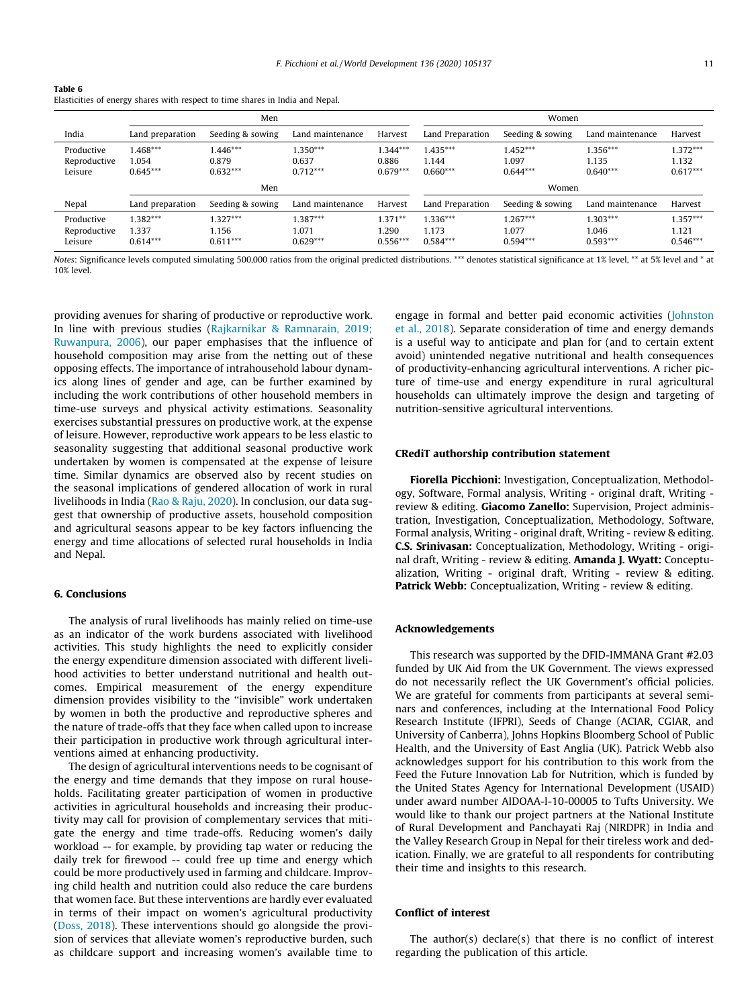<span id="page-10-0"></span>

| Table 6                                                                       |
|-------------------------------------------------------------------------------|
| Elasticities of energy shares with respect to time shares in India and Nepal. |

|                                       |                                   | Men                               |                                   |                                   | Women                             |                                   |                                   |                                   |  |
|---------------------------------------|-----------------------------------|-----------------------------------|-----------------------------------|-----------------------------------|-----------------------------------|-----------------------------------|-----------------------------------|-----------------------------------|--|
| India                                 | Land preparation                  | Seeding & sowing                  | Land maintenance                  | Harvest                           | Land Preparation                  | Seeding & sowing                  | Land maintenance                  | Harvest                           |  |
| Productive<br>Reproductive<br>Leisure | $1.468***$<br>1.054<br>$0.645***$ | $1.446***$<br>0.879<br>$0.632***$ | $1.350***$<br>0.637<br>$0.712***$ | $1.344***$<br>0.886<br>$0.679***$ | $1.435***$<br>1.144<br>$0.660***$ | $1.452***$<br>1.097<br>$0.644***$ | $1.356***$<br>1.135<br>$0.640***$ | $1.372***$<br>1.132<br>$0.617***$ |  |
|                                       |                                   | Men                               |                                   |                                   | Women                             |                                   |                                   |                                   |  |
| Nepal                                 | Land preparation                  | Seeding & sowing                  | Land maintenance                  | Harvest                           | Land Preparation                  | Seeding & sowing                  | Land maintenance                  | Harvest                           |  |
| Productive<br>Reproductive<br>Leisure | $1.382***$<br>1.337<br>$0.614***$ | $1.327***$<br>1.156<br>$0.611***$ | $1.387***$<br>1.071<br>$0.629***$ | $1.371**$<br>1.290<br>$0.556***$  | $1.336***$<br>1.173<br>$0.584***$ | $1.267***$<br>1.077<br>$0.594***$ | $1.303***$<br>1.046<br>$0.593***$ | $1.357***$<br>1.121<br>$0.546***$ |  |

Notes: Significance levels computed simulating 500,000 ratios from the original predicted distributions. \*\*\* denotes statistical significance at 1% level, \*\* at 5% level and \* at 10% level.

providing avenues for sharing of productive or reproductive work. In line with previous studies [\(Rajkarnikar & Ramnarain, 2019;](#page-15-0) [Ruwanpura, 2006](#page-15-0)), our paper emphasises that the influence of household composition may arise from the netting out of these opposing effects. The importance of intrahousehold labour dynamics along lines of gender and age, can be further examined by including the work contributions of other household members in time-use surveys and physical activity estimations. Seasonality exercises substantial pressures on productive work, at the expense of leisure. However, reproductive work appears to be less elastic to seasonality suggesting that additional seasonal productive work undertaken by women is compensated at the expense of leisure time. Similar dynamics are observed also by recent studies on the seasonal implications of gendered allocation of work in rural livelihoods in India ([Rao & Raju, 2020\)](#page-15-0). In conclusion, our data suggest that ownership of productive assets, household composition and agricultural seasons appear to be key factors influencing the energy and time allocations of selected rural households in India and Nepal.

#### 6. Conclusions

The analysis of rural livelihoods has mainly relied on time-use as an indicator of the work burdens associated with livelihood activities. This study highlights the need to explicitly consider the energy expenditure dimension associated with different livelihood activities to better understand nutritional and health outcomes. Empirical measurement of the energy expenditure dimension provides visibility to the ''invisible" work undertaken by women in both the productive and reproductive spheres and the nature of trade-offs that they face when called upon to increase their participation in productive work through agricultural interventions aimed at enhancing productivity.

The design of agricultural interventions needs to be cognisant of the energy and time demands that they impose on rural households. Facilitating greater participation of women in productive activities in agricultural households and increasing their productivity may call for provision of complementary services that mitigate the energy and time trade-offs. Reducing women's daily workload -- for example, by providing tap water or reducing the daily trek for firewood -- could free up time and energy which could be more productively used in farming and childcare. Improving child health and nutrition could also reduce the care burdens that women face. But these interventions are hardly ever evaluated in terms of their impact on women's agricultural productivity ([Doss, 2018\)](#page-14-0). These interventions should go alongside the provision of services that alleviate women's reproductive burden, such as childcare support and increasing women's available time to

engage in formal and better paid economic activities [\(Johnston](#page-14-0) [et al., 2018](#page-14-0)). Separate consideration of time and energy demands is a useful way to anticipate and plan for (and to certain extent avoid) unintended negative nutritional and health consequences of productivity-enhancing agricultural interventions. A richer picture of time-use and energy expenditure in rural agricultural households can ultimately improve the design and targeting of nutrition-sensitive agricultural interventions.

## CRediT authorship contribution statement

Fiorella Picchioni: Investigation, Conceptualization, Methodology, Software, Formal analysis, Writing - original draft, Writing review & editing. Giacomo Zanello: Supervision, Project administration, Investigation, Conceptualization, Methodology, Software, Formal analysis, Writing - original draft, Writing - review & editing. C.S. Srinivasan: Conceptualization, Methodology, Writing - original draft, Writing - review & editing. Amanda J. Wyatt: Conceptualization, Writing - original draft, Writing - review & editing. Patrick Webb: Conceptualization, Writing - review & editing.

#### Acknowledgements

This research was supported by the DFID-IMMANA Grant #2.03 funded by UK Aid from the UK Government. The views expressed do not necessarily reflect the UK Government's official policies. We are grateful for comments from participants at several seminars and conferences, including at the International Food Policy Research Institute (IFPRI), Seeds of Change (ACIAR, CGIAR, and University of Canberra), Johns Hopkins Bloomberg School of Public Health, and the University of East Anglia (UK). Patrick Webb also acknowledges support for his contribution to this work from the Feed the Future Innovation Lab for Nutrition, which is funded by the United States Agency for International Development (USAID) under award number AIDOAA-l-10-00005 to Tufts University. We would like to thank our project partners at the National Institute of Rural Development and Panchayati Raj (NIRDPR) in India and the Valley Research Group in Nepal for their tireless work and dedication. Finally, we are grateful to all respondents for contributing their time and insights to this research.

# Conflict of interest

The author(s) declare(s) that there is no conflict of interest regarding the publication of this article.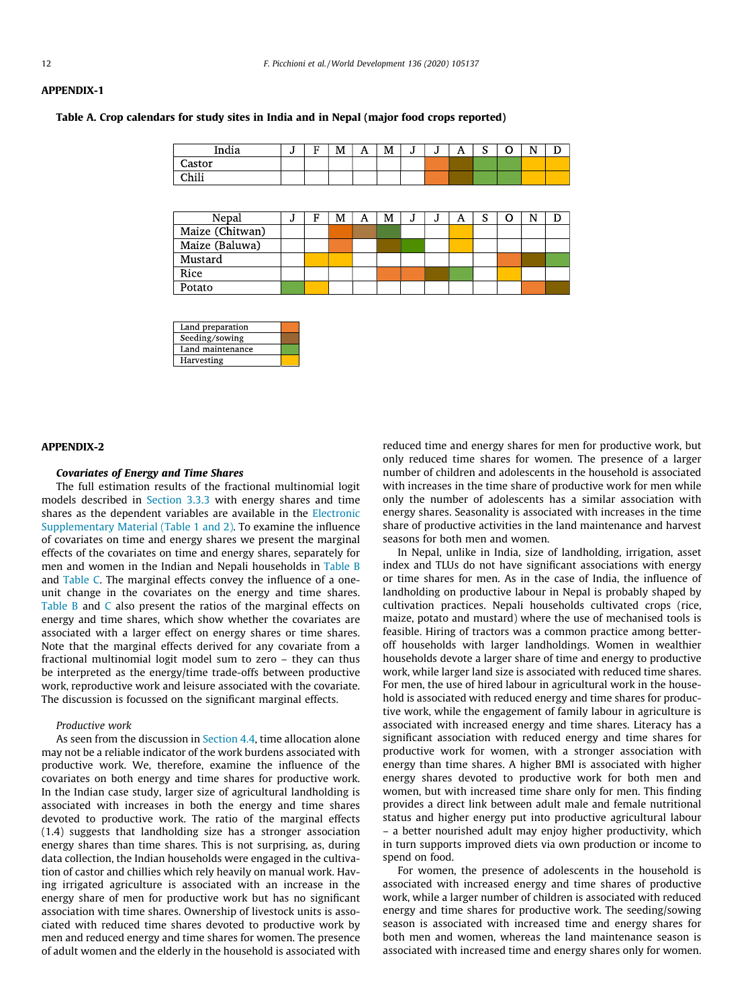# <span id="page-11-0"></span>APPENDIX-1

Table A. Crop calendars for study sites in India and in Nepal (major food crops reported)

| India          | υ | Е | M | A | M | ÷<br>υ | υ | A | $\sqrt{2}$<br>u | ∽<br>U | N |  |
|----------------|---|---|---|---|---|--------|---|---|-----------------|--------|---|--|
| Castor         |   |   |   |   |   |        |   |   |                 |        |   |  |
| C <sub>1</sub> |   |   |   |   |   |        |   |   |                 |        |   |  |
|                |   |   |   |   |   |        |   |   |                 |        |   |  |

| Nepal           | м | F | M | A | M | м | A | ິ<br>ш. |  |  |
|-----------------|---|---|---|---|---|---|---|---------|--|--|
| Maize (Chitwan) |   |   |   |   |   |   |   |         |  |  |
| Maize (Baluwa)  |   |   |   |   |   |   |   |         |  |  |
| Mustard         |   |   |   |   |   |   |   |         |  |  |
| Rice            |   |   |   |   |   |   |   |         |  |  |
| Potato          |   |   |   |   |   |   |   |         |  |  |

| Land preparation |  |
|------------------|--|
| Seeding/sowing   |  |
| Land maintenance |  |
| Harvesting       |  |

#### APPENDIX-2

#### Covariates of Energy and Time Shares

The full estimation results of the fractional multinomial logit models described in [Section 3.3.3](#page-4-0) with energy shares and time shares as the dependent variables are available in the Electronic Supplementary Material (Table 1 and 2). To examine the influence of covariates on time and energy shares we present the marginal effects of the covariates on time and energy shares, separately for men and women in the Indian and Nepali households in [Table B](#page-12-0) and [Table C](#page-13-0). The marginal effects convey the influence of a oneunit change in the covariates on the energy and time shares. [Table B](#page-12-0) and [C](#page-13-0) also present the ratios of the marginal effects on energy and time shares, which show whether the covariates are associated with a larger effect on energy shares or time shares. Note that the marginal effects derived for any covariate from a fractional multinomial logit model sum to zero – they can thus be interpreted as the energy/time trade-offs between productive work, reproductive work and leisure associated with the covariate. The discussion is focussed on the significant marginal effects.

#### Productive work

As seen from the discussion in [Section 4.4,](#page-7-0) time allocation alone may not be a reliable indicator of the work burdens associated with productive work. We, therefore, examine the influence of the covariates on both energy and time shares for productive work. In the Indian case study, larger size of agricultural landholding is associated with increases in both the energy and time shares devoted to productive work. The ratio of the marginal effects (1.4) suggests that landholding size has a stronger association energy shares than time shares. This is not surprising, as, during data collection, the Indian households were engaged in the cultivation of castor and chillies which rely heavily on manual work. Having irrigated agriculture is associated with an increase in the energy share of men for productive work but has no significant association with time shares. Ownership of livestock units is associated with reduced time shares devoted to productive work by men and reduced energy and time shares for women. The presence of adult women and the elderly in the household is associated with reduced time and energy shares for men for productive work, but only reduced time shares for women. The presence of a larger number of children and adolescents in the household is associated with increases in the time share of productive work for men while only the number of adolescents has a similar association with energy shares. Seasonality is associated with increases in the time share of productive activities in the land maintenance and harvest seasons for both men and women.

In Nepal, unlike in India, size of landholding, irrigation, asset index and TLUs do not have significant associations with energy or time shares for men. As in the case of India, the influence of landholding on productive labour in Nepal is probably shaped by cultivation practices. Nepali households cultivated crops (rice, maize, potato and mustard) where the use of mechanised tools is feasible. Hiring of tractors was a common practice among betteroff households with larger landholdings. Women in wealthier households devote a larger share of time and energy to productive work, while larger land size is associated with reduced time shares. For men, the use of hired labour in agricultural work in the household is associated with reduced energy and time shares for productive work, while the engagement of family labour in agriculture is associated with increased energy and time shares. Literacy has a significant association with reduced energy and time shares for productive work for women, with a stronger association with energy than time shares. A higher BMI is associated with higher energy shares devoted to productive work for both men and women, but with increased time share only for men. This finding provides a direct link between adult male and female nutritional status and higher energy put into productive agricultural labour – a better nourished adult may enjoy higher productivity, which in turn supports improved diets via own production or income to spend on food.

For women, the presence of adolescents in the household is associated with increased energy and time shares of productive work, while a larger number of children is associated with reduced energy and time shares for productive work. The seeding/sowing season is associated with increased time and energy shares for both men and women, whereas the land maintenance season is associated with increased time and energy shares only for women.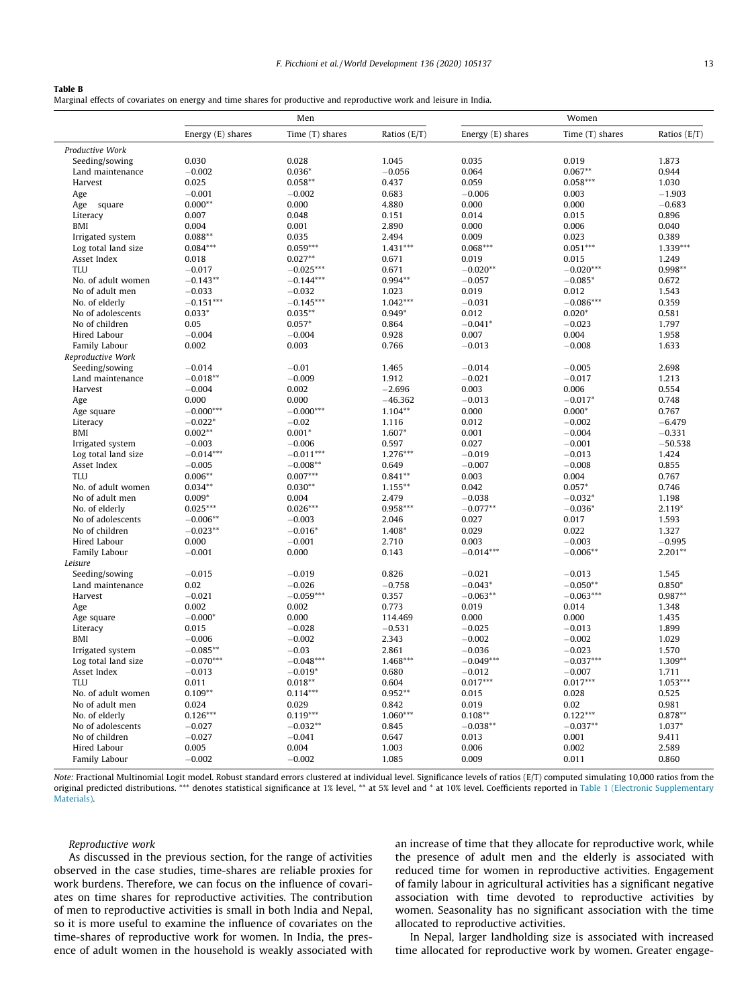## <span id="page-12-0"></span>Table B

Marginal effects of covariates on energy and time shares for productive and reproductive work and leisure in India.

| Energy (E) shares<br>Time (T) shares<br>Ratios (E/T)<br>Energy (E) shares<br>Time (T) shares<br>Productive Work<br>0.030<br>0.028<br>1.045<br>0.035<br>0.019<br>Seeding/sowing<br>Land maintenance<br>$-0.002$<br>$0.036*$<br>$-0.056$<br>0.064<br>$0.067**$<br>$0.058***$<br>0.025<br>$0.058**$<br>0.437<br>0.059<br>Harvest | Ratios (E/T)<br>1.873<br>0.944<br>1.030<br>$-1.903$<br>$-0.683$<br>0.896<br>0.040 |
|-------------------------------------------------------------------------------------------------------------------------------------------------------------------------------------------------------------------------------------------------------------------------------------------------------------------------------|-----------------------------------------------------------------------------------|
|                                                                                                                                                                                                                                                                                                                               |                                                                                   |
|                                                                                                                                                                                                                                                                                                                               |                                                                                   |
|                                                                                                                                                                                                                                                                                                                               |                                                                                   |
|                                                                                                                                                                                                                                                                                                                               |                                                                                   |
|                                                                                                                                                                                                                                                                                                                               |                                                                                   |
| $-0.001$<br>$-0.002$<br>0.683<br>$-0.006$<br>0.003<br>Age                                                                                                                                                                                                                                                                     |                                                                                   |
| $0.000**$<br>0.000<br>4.880<br>0.000<br>0.000<br>Age square                                                                                                                                                                                                                                                                   |                                                                                   |
| 0.007<br>0.048<br>0.014<br>0.015<br>Literacy<br>0.151                                                                                                                                                                                                                                                                         |                                                                                   |
| BMI<br>0.004<br>0.001<br>2.890<br>0.000<br>0.006                                                                                                                                                                                                                                                                              |                                                                                   |
| Irrigated system<br>$0.088**$<br>0.035<br>2.494<br>0.009<br>0.023                                                                                                                                                                                                                                                             | 0.389                                                                             |
| $0.051***$<br>$0.059***$<br>$1.431***$<br>$0.068***$<br>Log total land size<br>$0.084***$                                                                                                                                                                                                                                     | 1.339***                                                                          |
| $0.027**$<br>Asset Index<br>0.018<br>0.671<br>0.019<br>0.015                                                                                                                                                                                                                                                                  | 1.249                                                                             |
| TIJI<br>$-0.017$<br>$-0.025***$<br>0.671<br>$-0.020**$<br>$-0.020***$                                                                                                                                                                                                                                                         | 0.998**                                                                           |
| $-0.144***$<br>$0.994**$<br>No. of adult women<br>$-0.143**$<br>$-0.057$<br>$-0.085*$                                                                                                                                                                                                                                         | 0.672                                                                             |
| No of adult men<br>$-0.033$<br>$-0.032$<br>0.019<br>0.012<br>1.023                                                                                                                                                                                                                                                            | 1.543                                                                             |
| $-0.151***$<br>$-0.145***$<br>$1.042***$<br>$-0.086***$<br>No. of elderly<br>$-0.031$                                                                                                                                                                                                                                         | 0.359                                                                             |
| $0.033*$<br>$0.035***$<br>$0.949*$<br>$0.020*$<br>No of adolescents<br>0.012                                                                                                                                                                                                                                                  | 0.581                                                                             |
| No of children<br>$0.057*$<br>$-0.041*$<br>$-0.023$<br>0.05<br>0.864                                                                                                                                                                                                                                                          | 1.797                                                                             |
| 0.928<br>0.007<br>0.004<br>Hired Labour<br>$-0.004$<br>$-0.004$                                                                                                                                                                                                                                                               | 1.958                                                                             |
| 0.002<br>0.003<br>0.766<br>$-0.013$<br>$-0.008$                                                                                                                                                                                                                                                                               | 1.633                                                                             |
| Family Labour<br>Reproductive Work                                                                                                                                                                                                                                                                                            |                                                                                   |
| $-0.014$<br>$-0.01$<br>1.465<br>$-0.014$<br>$-0.005$                                                                                                                                                                                                                                                                          | 2.698                                                                             |
| Seeding/sowing<br>Land maintenance<br>$-0.018**$<br>$-0.009$<br>1.912<br>$-0.021$<br>$-0.017$                                                                                                                                                                                                                                 | 1.213                                                                             |
|                                                                                                                                                                                                                                                                                                                               |                                                                                   |
| Harvest<br>$-0.004$<br>0.002<br>$-2.696$<br>0.003<br>0.006                                                                                                                                                                                                                                                                    | 0.554                                                                             |
| 0.000<br>0.000<br>$-46.362$<br>$-0.013$<br>$-0.017*$<br>Age                                                                                                                                                                                                                                                                   | 0.748                                                                             |
| $-0.000***$<br>$-0.000***$<br>$1.104**$<br>$0.000*$<br>0.000<br>Age square                                                                                                                                                                                                                                                    | 0.767                                                                             |
| $-0.022*$<br>Literacy<br>$-0.02$<br>1.116<br>0.012<br>$-0.002$                                                                                                                                                                                                                                                                | $-6.479$                                                                          |
| $0.002**$<br>$0.001*$<br>BMI<br>$1.607*$<br>0.001<br>$-0.004$                                                                                                                                                                                                                                                                 | $-0.331$                                                                          |
| Irrigated system<br>$-0.003$<br>$-0.006$<br>0.597<br>0.027<br>$-0.001$                                                                                                                                                                                                                                                        | $-50.538$                                                                         |
| $-0.011***$<br>Log total land size<br>$-0.014***$<br>1.276***<br>$-0.019$<br>$-0.013$                                                                                                                                                                                                                                         | 1.424                                                                             |
| $-0.005$<br>Asset Index<br>$-0.008**$<br>0.649<br>$-0.007$<br>$-0.008$                                                                                                                                                                                                                                                        | 0.855                                                                             |
| $0.006**$<br><b>TLU</b><br>$0.007***$<br>$0.841**$<br>0.003<br>0.004                                                                                                                                                                                                                                                          | 0.767                                                                             |
| No. of adult women<br>$0.034**$<br>$0.030**$<br>$1.155***$<br>0.042<br>$0.057*$                                                                                                                                                                                                                                               | 0.746                                                                             |
| No of adult men<br>$0.009*$<br>0.004<br>2.479<br>$-0.038$<br>$-0.032*$                                                                                                                                                                                                                                                        | 1.198                                                                             |
| $0.025***$<br>$0.026***$<br>$0.958***$<br>$-0.077**$<br>$-0.036*$<br>No. of elderly                                                                                                                                                                                                                                           | $2.119*$                                                                          |
| $-0.006**$<br>$-0.003$<br>0.017<br>No of adolescents<br>2.046<br>0.027                                                                                                                                                                                                                                                        | 1.593                                                                             |
| No of children<br>$-0.023**$<br>$-0.016*$<br>1.408*<br>0.029<br>0.022                                                                                                                                                                                                                                                         | 1.327                                                                             |
| Hired Labour<br>0.000<br>$-0.001$<br>2.710<br>0.003<br>$-0.003$                                                                                                                                                                                                                                                               | $-0.995$                                                                          |
| $-0.014***$<br>$-0.006**$<br>Family Labour<br>$-0.001$<br>0.000<br>0.143                                                                                                                                                                                                                                                      | $2.201**$                                                                         |
| Leisure                                                                                                                                                                                                                                                                                                                       |                                                                                   |
| Seeding/sowing<br>$-0.015$<br>$-0.019$<br>0.826<br>$-0.021$<br>$-0.013$                                                                                                                                                                                                                                                       | 1.545                                                                             |
| Land maintenance<br>0.02<br>$-0.026$<br>$-0.758$<br>$-0.043*$<br>$-0.050**$                                                                                                                                                                                                                                                   | $0.850*$                                                                          |
| $-0.059***$<br>$-0.063**$<br>$-0.063***$<br>Harvest<br>$-0.021$<br>0.357                                                                                                                                                                                                                                                      | $0.987**$                                                                         |
| 0.002<br>0.002<br>0.773<br>0.019<br>0.014<br>Age                                                                                                                                                                                                                                                                              | 1.348                                                                             |
| $-0.000*$<br>0.000<br>0.000<br>Age square<br>0.000<br>114.469                                                                                                                                                                                                                                                                 | 1.435                                                                             |
| 0.015<br>$-0.531$<br>$-0.025$<br>Literacy<br>$-0.028$<br>$-0.013$                                                                                                                                                                                                                                                             | 1.899                                                                             |
| $-0.006$<br>$-0.002$<br>2.343<br>$-0.002$<br>$-0.002$<br>BMI                                                                                                                                                                                                                                                                  | 1.029                                                                             |
| Irrigated system<br>$-0.085**$<br>$-0.03$<br>2.861<br>$-0.036$<br>$-0.023$<br>$1.468***$                                                                                                                                                                                                                                      | 1.570                                                                             |
| $-0.070***$<br>$-0.048***$<br>$-0.037***$<br>Log total land size<br>$-0.049***$                                                                                                                                                                                                                                               | $1.309**$                                                                         |
| Asset Index<br>$-0.013$<br>$-0.019*$<br>0.680<br>$-0.012$<br>$-0.007$                                                                                                                                                                                                                                                         | 1.711                                                                             |
| $0.018**$<br>$0.017***$<br>$0.017***$<br><b>TLU</b><br>0.011<br>0.604                                                                                                                                                                                                                                                         | $1.053***$                                                                        |
| $0.109**$<br>$0.114***$<br>$0.952**$<br>0.028<br>No. of adult women<br>0.015                                                                                                                                                                                                                                                  | 0.525                                                                             |
| No of adult men<br>0.024<br>0.029<br>0.842<br>0.019<br>0.02                                                                                                                                                                                                                                                                   | 0.981                                                                             |
| $0.119***$<br>1.060***<br>$0.122***$<br>No. of elderly<br>$0.126***$<br>$0.108**$                                                                                                                                                                                                                                             | $0.878**$                                                                         |
| No of adolescents<br>$-0.032**$<br>0.845<br>$-0.038**$<br>$-0.037**$<br>$-0.027$                                                                                                                                                                                                                                              | $1.037*$                                                                          |
| $-0.027$<br>$-0.041$<br>No of children<br>0.647<br>0.013<br>0.001                                                                                                                                                                                                                                                             | 9.411                                                                             |
| 0.005<br>Hired Labour<br>0.004<br>1.003<br>0.006<br>0.002                                                                                                                                                                                                                                                                     | 2.589                                                                             |
| $-0.002$<br>0.009<br>0.011<br>Family Labour<br>$-0.002$<br>1.085                                                                                                                                                                                                                                                              | 0.860                                                                             |

Note: Fractional Multinomial Logit model. Robust standard errors clustered at individual level. Significance levels of ratios (E/T) computed simulating 10,000 ratios from the original predicted distributions. \*\*\* denotes statistical significance at 1% level, \*\* at 5% level and \* at 10% level. Coefficients reported in [Table 1 \(Electronic Supplementary](#page-11-0) [Materials\)](#page-11-0).

Reproductive work

As discussed in the previous section, for the range of activities observed in the case studies, time-shares are reliable proxies for work burdens. Therefore, we can focus on the influence of covariates on time shares for reproductive activities. The contribution of men to reproductive activities is small in both India and Nepal, so it is more useful to examine the influence of covariates on the time-shares of reproductive work for women. In India, the presence of adult women in the household is weakly associated with an increase of time that they allocate for reproductive work, while the presence of adult men and the elderly is associated with reduced time for women in reproductive activities. Engagement of family labour in agricultural activities has a significant negative association with time devoted to reproductive activities by women. Seasonality has no significant association with the time allocated to reproductive activities.

In Nepal, larger landholding size is associated with increased time allocated for reproductive work by women. Greater engage-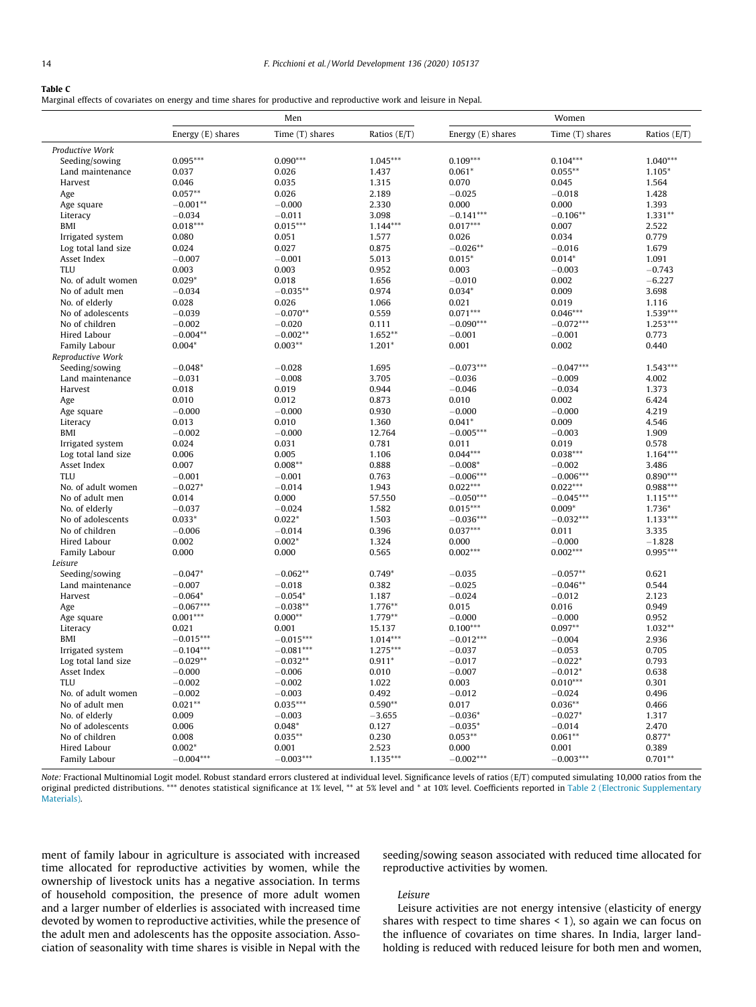#### <span id="page-13-0"></span>Table C

Marginal effects of covariates on energy and time shares for productive and reproductive work and leisure in Nepal.

|                     |                   | Men             |              | Women             |                 |              |  |  |
|---------------------|-------------------|-----------------|--------------|-------------------|-----------------|--------------|--|--|
|                     | Energy (E) shares | Time (T) shares | Ratios (E/T) | Energy (E) shares | Time (T) shares | Ratios (E/T) |  |  |
| Productive Work     |                   |                 |              |                   |                 |              |  |  |
| Seeding/sowing      | $0.095***$        | $0.090***$      | $1.045***$   | $0.109***$        | $0.104***$      | $1.040***$   |  |  |
| Land maintenance    | 0.037             | 0.026           | 1.437        | $0.061*$          | $0.055***$      | 1.105*       |  |  |
| Harvest             | 0.046             | 0.035           | 1.315        | 0.070             | 0.045           | 1.564        |  |  |
| Age                 | $0.057**$         | 0.026           | 2.189        | $-0.025$          | $-0.018$        | 1.428        |  |  |
| Age square          | $-0.001**$        | $-0.000$        | 2.330        | 0.000             | 0.000           | 1.393        |  |  |
| Literacy            | $-0.034$          | $-0.011$        | 3.098        | $-0.141***$       | $-0.106**$      | $1.331**$    |  |  |
| BMI                 | $0.018***$        | $0.015***$      | $1.144***$   | $0.017***$        | 0.007           | 2.522        |  |  |
| Irrigated system    | 0.080             | 0.051           | 1.577        | 0.026             | 0.034           | 0.779        |  |  |
| Log total land size | 0.024             | 0.027           | 0.875        | $-0.026**$        | $-0.016$        | 1.679        |  |  |
| Asset Index         | $-0.007$          | $-0.001$        | 5.013        | $0.015*$          | $0.014*$        | 1.091        |  |  |
| TIJ                 | 0.003             | 0.003           | 0.952        | 0.003             | $-0.003$        | $-0.743$     |  |  |
| No. of adult women  | $0.029*$          | 0.018           | 1.656        | $-0.010$          | 0.002           | $-6.227$     |  |  |
| No of adult men     | $-0.034$          | $-0.035**$      | 0.974        | $0.034*$          | 0.009           | 3.698        |  |  |
| No. of elderly      | 0.028             | 0.026           | 1.066        | 0.021             | 0.019           | 1.116        |  |  |
| No of adolescents   | $-0.039$          | $-0.070**$      | 0.559        | $0.071***$        | $0.046***$      | 1.539***     |  |  |
| No of children      | $-0.002$          | $-0.020$        | 0.111        | $-0.090***$       | $-0.072***$     | $1.253***$   |  |  |
| Hired Labour        | $-0.004**$        | $-0.002**$      | $1.652**$    | $-0.001$          | $-0.001$        | 0.773        |  |  |
| Family Labour       | $0.004*$          | $0.003**$       | $1.201*$     | 0.001             | 0.002           | 0.440        |  |  |
| Reproductive Work   |                   |                 |              |                   |                 |              |  |  |
| Seeding/sowing      | $-0.048*$         | $-0.028$        | 1.695        | $-0.073***$       | $-0.047***$     | $1.543***$   |  |  |
| Land maintenance    | $-0.031$          | $-0.008$        | 3.705        | $-0.036$          | $-0.009$        | 4.002        |  |  |
| Harvest             | 0.018             | 0.019           | 0.944        | $-0.046$          | $-0.034$        | 1.373        |  |  |
| Age                 | 0.010             | 0.012           | 0.873        | 0.010             | 0.002           | 6.424        |  |  |
| Age square          | $-0.000$          | $-0.000$        | 0.930        | $-0.000$          | $-0.000$        | 4.219        |  |  |
| Literacy            | 0.013             | 0.010           | 1.360        | $0.041*$          | 0.009           | 4.546        |  |  |
| <b>BMI</b>          | $-0.002$          | $-0.000$        | 12.764       | $-0.005***$       | $-0.003$        | 1.909        |  |  |
| Irrigated system    | 0.024             | 0.031           | 0.781        | 0.011             | 0.019           | 0.578        |  |  |
| Log total land size | 0.006             | 0.005           | 1.106        | $0.044***$        | $0.038***$      | $1.164***$   |  |  |
| Asset Index         | 0.007             | $0.008***$      | 0.888        | $-0.008*$         | $-0.002$        | 3.486        |  |  |
| <b>TLU</b>          | $-0.001$          | $-0.001$        | 0.763        | $-0.006***$       | $-0.006***$     | $0.890***$   |  |  |
| No. of adult women  | $-0.027*$         | $-0.014$        | 1.943        | $0.022***$        | $0.022***$      | $0.988***$   |  |  |
| No of adult men     | 0.014             | 0.000           | 57.550       | $-0.050***$       | $-0.045***$     | $1.115***$   |  |  |
| No. of elderly      | $-0.037$          | $-0.024$        | 1.582        | $0.015***$        | $0.009*$        | 1.736*       |  |  |
| No of adolescents   | $0.033*$          | $0.022*$        | 1.503        | $-0.036***$       | $-0.032***$     | $1.133***$   |  |  |
| No of children      | $-0.006$          | $-0.014$        | 0.396        | $0.037***$        | 0.011           | 3.335        |  |  |
| Hired Labour        | 0.002             | $0.002*$        | 1.324        | 0.000             | $-0.000$        | $-1.828$     |  |  |
| Family Labour       | 0.000             | 0.000           | 0.565        | $0.002***$        | $0.002***$      | $0.995***$   |  |  |
| Leisure             |                   |                 |              |                   |                 |              |  |  |
| Seeding/sowing      | $-0.047*$         | $-0.062**$      | $0.749*$     | $-0.035$          | $-0.057**$      | 0.621        |  |  |
| Land maintenance    | $-0.007$          | $-0.018$        | 0.382        | $-0.025$          | $-0.046**$      | 0.544        |  |  |
| Harvest             | $-0.064*$         | $-0.054*$       | 1.187        | $-0.024$          | $-0.012$        | 2.123        |  |  |
| Age                 | $-0.067***$       | $-0.038**$      | 1.776**      | 0.015             | 0.016           | 0.949        |  |  |
| Age square          | $0.001***$        | $0.000**$       | $1.779**$    | $-0.000$          | $-0.000$        | 0.952        |  |  |
| Literacy            | 0.021             | 0.001           | 15.137       | $0.100***$        | $0.097**$       | $1.032**$    |  |  |
| BMI                 | $-0.015***$       | $-0.015***$     | $1.014***$   | $-0.012***$       | $-0.004$        | 2.936        |  |  |
| Irrigated system    | $-0.104***$       | $-0.081***$     | $1.275***$   | $-0.037$          | $-0.053$        | 0.705        |  |  |
| Log total land size | $-0.029**$        | $-0.032**$      | $0.911*$     | $-0.017$          | $-0.022*$       | 0.793        |  |  |
| Asset Index         | $-0.000$          | $-0.006$        | 0.010        | $-0.007$          | $-0.012*$       | 0.638        |  |  |
| <b>TLU</b>          | $-0.002$          | $-0.002$        | 1.022        | 0.003             | $0.010***$      | 0.301        |  |  |
| No. of adult women  | $-0.002$          | $-0.003$        | 0.492        | $-0.012$          | $-0.024$        | 0.496        |  |  |
| No of adult men     | $0.021**$         | $0.035***$      | $0.590**$    | 0.017             | $0.036**$       | 0.466        |  |  |
| No. of elderly      | 0.009             | $-0.003$        | $-3.655$     | $-0.036*$         | $-0.027*$       | 1.317        |  |  |
| No of adolescents   | 0.006             | $0.048*$        | 0.127        | $-0.035*$         | $-0.014$        | 2.470        |  |  |
| No of children      | 0.008             | $0.035**$       | 0.230        | $0.053**$         | $0.061**$       | $0.877*$     |  |  |
| Hired Labour        | $0.002*$          | 0.001           | 2.523        | 0.000             | 0.001           | 0.389        |  |  |
| Family Labour       | $-0.004***$       | $-0.003***$     | $1.135***$   | $-0.002***$       | $-0.003***$     | $0.701**$    |  |  |

Note: Fractional Multinomial Logit model. Robust standard errors clustered at individual level. Significance levels of ratios (E/T) computed simulating 10,000 ratios from the original predicted distributions. \*\*\* denotes statistical significance at 1% level, \*\* at 5% level and \* at 10% level. Coefficients reported in [Table 2 \(Electronic Supplementary](#page-11-0) [Materials\)](#page-11-0).

ment of family labour in agriculture is associated with increased time allocated for reproductive activities by women, while the ownership of livestock units has a negative association. In terms of household composition, the presence of more adult women and a larger number of elderlies is associated with increased time devoted by women to reproductive activities, while the presence of the adult men and adolescents has the opposite association. Association of seasonality with time shares is visible in Nepal with the

seeding/sowing season associated with reduced time allocated for reproductive activities by women.

#### Leisure

Leisure activities are not energy intensive (elasticity of energy shares with respect to time shares < 1), so again we can focus on the influence of covariates on time shares. In India, larger landholding is reduced with reduced leisure for both men and women,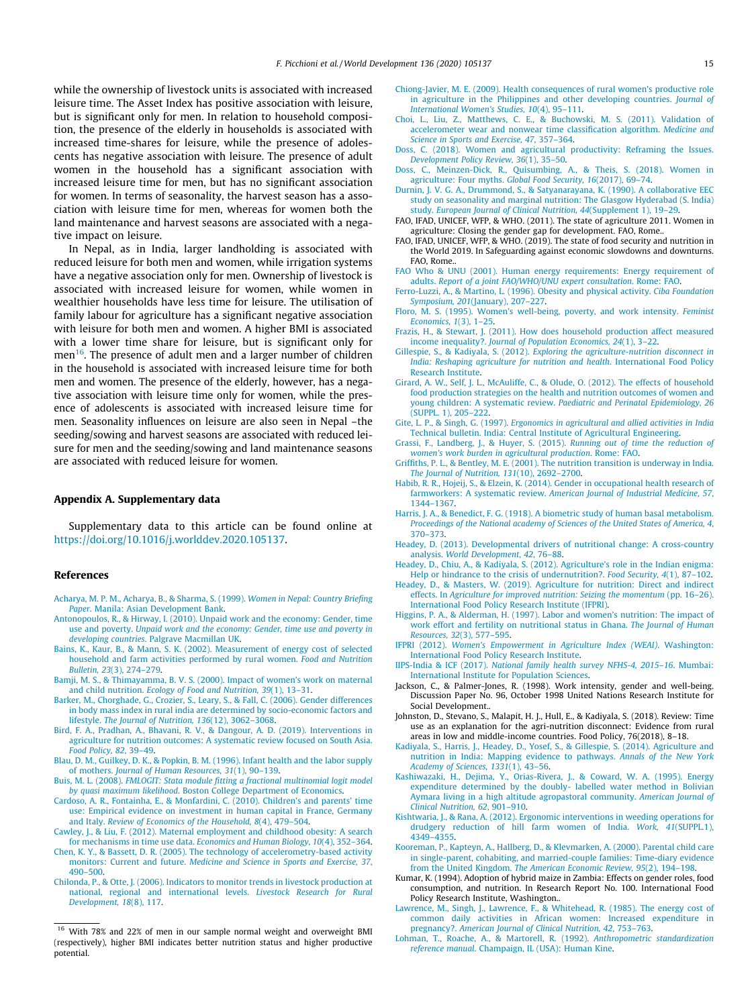<span id="page-14-0"></span>while the ownership of livestock units is associated with increased leisure time. The Asset Index has positive association with leisure, but is significant only for men. In relation to household composition, the presence of the elderly in households is associated with increased time-shares for leisure, while the presence of adolescents has negative association with leisure. The presence of adult women in the household has a significant association with increased leisure time for men, but has no significant association for women. In terms of seasonality, the harvest season has a association with leisure time for men, whereas for women both the land maintenance and harvest seasons are associated with a negative impact on leisure.

In Nepal, as in India, larger landholding is associated with reduced leisure for both men and women, while irrigation systems have a negative association only for men. Ownership of livestock is associated with increased leisure for women, while women in wealthier households have less time for leisure. The utilisation of family labour for agriculture has a significant negative association with leisure for both men and women. A higher BMI is associated with a lower time share for leisure, but is significant only for men $^{16}$ . The presence of adult men and a larger number of children in the household is associated with increased leisure time for both men and women. The presence of the elderly, however, has a negative association with leisure time only for women, while the presence of adolescents is associated with increased leisure time for men. Seasonality influences on leisure are also seen in Nepal –the seeding/sowing and harvest seasons are associated with reduced leisure for men and the seeding/sowing and land maintenance seasons are associated with reduced leisure for women.

#### Appendix A. Supplementary data

Supplementary data to this article can be found online at [https://doi.org/10.1016/j.worlddev.2020.105137.](https://doi.org/10.1016/j.worlddev.2020.105137)

## References

- [Acharya, M. P. M., Acharya, B., & Sharma, S. \(1999\).](http://refhub.elsevier.com/S0305-750X(20)30264-3/h0005) Women in Nepal: Country Briefing Paper[. Manila: Asian Development Bank](http://refhub.elsevier.com/S0305-750X(20)30264-3/h0005).
- [Antonopoulos, R., & Hirway, I. \(2010\). Unpaid work and the economy: Gender, time](http://refhub.elsevier.com/S0305-750X(20)30264-3/h0010) use and poverty. [Unpaid work and the economy: Gender, time use and poverty in](http://refhub.elsevier.com/S0305-750X(20)30264-3/h0010) developing countries[. Palgrave Macmillan UK.](http://refhub.elsevier.com/S0305-750X(20)30264-3/h0010)
- [Bains, K., Kaur, B., & Mann, S. K. \(2002\). Measurement of energy cost of selected](http://refhub.elsevier.com/S0305-750X(20)30264-3/h0015) [household and farm activities performed by rural women.](http://refhub.elsevier.com/S0305-750X(20)30264-3/h0015) Food and Nutrition Bulletin, 23[\(3\), 274–279](http://refhub.elsevier.com/S0305-750X(20)30264-3/h0015).
- [Bamji, M. S., & Thimayamma, B. V. S. \(2000\). Impact of women's work on maternal](http://refhub.elsevier.com/S0305-750X(20)30264-3/h0020) and child nutrition. [Ecology of Food and Nutrition, 39](http://refhub.elsevier.com/S0305-750X(20)30264-3/h0020)(1), 13–31.
- [Barker, M., Chorghade, G., Crozier, S., Leary, S., & Fall, C. \(2006\). Gender differences](http://refhub.elsevier.com/S0305-750X(20)30264-3/h0025) [in body mass index in rural india are determined by socio-economic factors and](http://refhub.elsevier.com/S0305-750X(20)30264-3/h0025) lifestyle. [The Journal of Nutrition, 136](http://refhub.elsevier.com/S0305-750X(20)30264-3/h0025)(12), 3062–3068.
- [Bird, F. A., Pradhan, A., Bhavani, R. V., & Dangour, A. D. \(2019\). Interventions in](http://refhub.elsevier.com/S0305-750X(20)30264-3/h0030) [agriculture for nutrition outcomes: A systematic review focused on South Asia.](http://refhub.elsevier.com/S0305-750X(20)30264-3/h0030) [Food Policy, 82](http://refhub.elsevier.com/S0305-750X(20)30264-3/h0030), 39–49.
- [Blau, D. M., Guilkey, D. K., & Popkin, B. M. \(1996\). Infant health and the labor supply](http://refhub.elsevier.com/S0305-750X(20)30264-3/h0035) of mothers. [Journal of Human Resources, 31](http://refhub.elsevier.com/S0305-750X(20)30264-3/h0035)(1), 90–139.
- Buis, M. L. (2008). [FMLOGIT: Stata module fitting a fractional multinomial logit model](http://refhub.elsevier.com/S0305-750X(20)30264-3/h0040) by quasi maximum likelihood[. Boston College Department of Economics.](http://refhub.elsevier.com/S0305-750X(20)30264-3/h0040)
- [Cardoso, A. R., Fontainha, E., & Monfardini, C. \(2010\). Children's and parents' time](http://refhub.elsevier.com/S0305-750X(20)30264-3/h0045) [use: Empirical evidence on investment in human capital in France, Germany](http://refhub.elsevier.com/S0305-750X(20)30264-3/h0045) and Italy. [Review of Economics of the Household, 8](http://refhub.elsevier.com/S0305-750X(20)30264-3/h0045)(4), 479–504.
- [Cawley, J., & Liu, F. \(2012\). Maternal employment and childhood obesity: A search](http://refhub.elsevier.com/S0305-750X(20)30264-3/h0050) [for mechanisms in time use data.](http://refhub.elsevier.com/S0305-750X(20)30264-3/h0050) Economics and Human Biology, 10(4), 352–364.
- [Chen, K. Y., & Bassett, D. R. \(2005\). The technology of accelerometry-based activity](http://refhub.elsevier.com/S0305-750X(20)30264-3/h0055) monitors: Current and future. [Medicine and Science in Sports and Exercise, 37](http://refhub.elsevier.com/S0305-750X(20)30264-3/h0055), [490–500](http://refhub.elsevier.com/S0305-750X(20)30264-3/h0055).
- [Chilonda, P., & Otte, J. \(2006\). Indicators to monitor trends in livestock production at](http://refhub.elsevier.com/S0305-750X(20)30264-3/h0060) [national, regional and international levels.](http://refhub.elsevier.com/S0305-750X(20)30264-3/h0060) Livestock Research for Rural [Development, 18](http://refhub.elsevier.com/S0305-750X(20)30264-3/h0060)(8), 117.
- [Chiong-Javier, M. E. \(2009\). Health consequences of rural women's productive role](http://refhub.elsevier.com/S0305-750X(20)30264-3/h0065) [in agriculture in the Philippines and other developing countries.](http://refhub.elsevier.com/S0305-750X(20)30264-3/h0065) Journal of [International Women's Studies, 10](http://refhub.elsevier.com/S0305-750X(20)30264-3/h0065)(4), 95–111.
- [Choi, L., Liu, Z., Matthews, C. E., & Buchowski, M. S. \(2011\). Validation of](http://refhub.elsevier.com/S0305-750X(20)30264-3/h0070) [accelerometer wear and nonwear time classification algorithm.](http://refhub.elsevier.com/S0305-750X(20)30264-3/h0070) Medicine and [Science in Sports and Exercise, 47](http://refhub.elsevier.com/S0305-750X(20)30264-3/h0070), 357–364.
- [Doss, C. \(2018\). Women and agricultural productivity: Reframing the Issues.](http://refhub.elsevier.com/S0305-750X(20)30264-3/h0075) [Development Policy Review, 36](http://refhub.elsevier.com/S0305-750X(20)30264-3/h0075)(1), 35–50.
- [Doss, C., Meinzen-Dick, R., Quisumbing, A., & Theis, S. \(2018\). Women in](http://refhub.elsevier.com/S0305-750X(20)30264-3/h0080) [agriculture: Four myths.](http://refhub.elsevier.com/S0305-750X(20)30264-3/h0080) Global Food Security, 16(2017), 69–74.
- [Durnin, J. V. G. A., Drummond, S., & Satyanarayana, K. \(1990\). A collaborative EEC](http://refhub.elsevier.com/S0305-750X(20)30264-3/h0085) [study on seasonality and marginal nutrition: The Glasgow Hyderabad \(S. India\)](http://refhub.elsevier.com/S0305-750X(20)30264-3/h0085) study. [European Journal of Clinical Nutrition, 44](http://refhub.elsevier.com/S0305-750X(20)30264-3/h0085)(Supplement 1), 19–29.
- FAO, IFAD, UNICEF, WFP, & WHO. (2011). The state of agriculture 2011. Women in agriculture: Closing the gender gap for development. FAO, Rome..
- FAO, IFAD, UNICEF, WFP, & WHO. (2019). The state of food security and nutrition in the World 2019. In Safeguarding against economic slowdowns and downturns. FAO, Rome..
- [FAO Who & UNU \(2001\). Human energy requirements: Energy requirement of](http://refhub.elsevier.com/S0305-750X(20)30264-3/h0100) adults. [Report of a joint FAO/WHO/UNU expert consultation](http://refhub.elsevier.com/S0305-750X(20)30264-3/h0100). Rome: FAO.
- [Ferro-Luzzi, A., & Martino, L. \(1996\). Obesity and physical activity.](http://refhub.elsevier.com/S0305-750X(20)30264-3/h0105) Ciba Foundation Symposium, 201[\(January\), 207–227](http://refhub.elsevier.com/S0305-750X(20)30264-3/h0105).
- [Floro, M. S. \(1995\). Women's well-being, poverty, and work intensity.](http://refhub.elsevier.com/S0305-750X(20)30264-3/h0110) Feminist [Economics, 1](http://refhub.elsevier.com/S0305-750X(20)30264-3/h0110)(3), 1–25.
- [Frazis, H., & Stewart, J. \(2011\). How does household production affect measured](http://refhub.elsevier.com/S0305-750X(20)30264-3/h0115) income inequality?. [Journal of Population Economics, 24](http://refhub.elsevier.com/S0305-750X(20)30264-3/h0115)(1), 3–22.
- Gillespie, S., & Kadiyala, S. (2012). [Exploring the agriculture-nutrition disconnect in](http://refhub.elsevier.com/S0305-750X(20)30264-3/h0120) [India: Reshaping agriculture for nutrition and health](http://refhub.elsevier.com/S0305-750X(20)30264-3/h0120). International Food Policy [Research Institute](http://refhub.elsevier.com/S0305-750X(20)30264-3/h0120).
- [Girard, A. W., Self, J. L., McAuliffe, C., & Olude, O. \(2012\). The effects of household](http://refhub.elsevier.com/S0305-750X(20)30264-3/h0125) [food production strategies on the health and nutrition outcomes of women and](http://refhub.elsevier.com/S0305-750X(20)30264-3/h0125) young children: A systematic review. [Paediatric and Perinatal Epidemiology, 26](http://refhub.elsevier.com/S0305-750X(20)30264-3/h0125) [\(SUPPL. 1\), 205–222.](http://refhub.elsevier.com/S0305-750X(20)30264-3/h0125)
- Gite, L. P., & Singh, G. (1997). [Ergonomics in agricultural and allied activities in India](http://refhub.elsevier.com/S0305-750X(20)30264-3/h0130) [Technical bulletin. India: Central Institute of Agricultural Engineering](http://refhub.elsevier.com/S0305-750X(20)30264-3/h0130).
- [Grassi, F., Landberg, J., & Huyer, S. \(2015\).](http://refhub.elsevier.com/S0305-750X(20)30264-3/h0135) Running out of time the reduction of [women's work burden in agricultural production](http://refhub.elsevier.com/S0305-750X(20)30264-3/h0135). Rome: FAO.
- [Griffiths, P. L., & Bentley, M. E. \(2001\). The nutrition transition is underway in India.](http://refhub.elsevier.com/S0305-750X(20)30264-3/h0140) [The Journal of Nutrition, 131](http://refhub.elsevier.com/S0305-750X(20)30264-3/h0140)(10), 2692–2700.
- [Habib, R. R., Hojeij, S., & Elzein, K. \(2014\). Gender in occupational health research of](http://refhub.elsevier.com/S0305-750X(20)30264-3/h0145) farmworkers: A systematic review. [American Journal of Industrial Medicine, 57](http://refhub.elsevier.com/S0305-750X(20)30264-3/h0145), [1344–1367.](http://refhub.elsevier.com/S0305-750X(20)30264-3/h0145)
- [Harris, J. A., & Benedict, F. G. \(1918\). A biometric study of human basal metabolism.](http://refhub.elsevier.com/S0305-750X(20)30264-3/h0150) [Proceedings of the National academy of Sciences of the United States of America, 4](http://refhub.elsevier.com/S0305-750X(20)30264-3/h0150), [370–373](http://refhub.elsevier.com/S0305-750X(20)30264-3/h0150).
- [Headey, D. \(2013\). Developmental drivers of nutritional change: A cross-country](http://refhub.elsevier.com/S0305-750X(20)30264-3/h0155) analysis. [World Development, 42](http://refhub.elsevier.com/S0305-750X(20)30264-3/h0155), 76–88.
- [Headey, D., Chiu, A., & Kadiyala, S. \(2012\). Agriculture's role in the Indian enigma:](http://refhub.elsevier.com/S0305-750X(20)30264-3/h0160) [Help or hindrance to the crisis of undernutrition?.](http://refhub.elsevier.com/S0305-750X(20)30264-3/h0160) Food Security, 4(1), 87-102.
- [Headey, D., & Masters, W. \(2019\). Agriculture for nutrition: Direct and indirect](http://refhub.elsevier.com/S0305-750X(20)30264-3/h0165) effects. In [Agriculture for improved nutrition: Seizing the momentum](http://refhub.elsevier.com/S0305-750X(20)30264-3/h0165) (pp. 16–26). [International Food Policy Research Institute \(IFPRI\).](http://refhub.elsevier.com/S0305-750X(20)30264-3/h0165)
- [Higgins, P. A., & Alderman, H. \(1997\). Labor and women's nutrition: The impact of](http://refhub.elsevier.com/S0305-750X(20)30264-3/h0170) [work effort and fertility on nutritional status in Ghana.](http://refhub.elsevier.com/S0305-750X(20)30264-3/h0170) The Journal of Human [Resources, 32](http://refhub.elsevier.com/S0305-750X(20)30264-3/h0170)(3), 577–595.
- IFPRI (2012). [Women's Empowerment in Agriculture Index \(WEAI\)](http://refhub.elsevier.com/S0305-750X(20)30264-3/h0175). Washington: [International Food Policy Research Institute.](http://refhub.elsevier.com/S0305-750X(20)30264-3/h0175)
- IIPS-India & ICF (2017). [National family health survey NFHS-4, 2015–16](http://refhub.elsevier.com/S0305-750X(20)30264-3/h0180). Mumbai: [International Institute for Population Sciences](http://refhub.elsevier.com/S0305-750X(20)30264-3/h0180).
- Jackson, C., & Palmer-Jones, R. (1998). Work intensity, gender and well-being. Discussion Paper No. 96, October 1998 United Nations Research Institute for Social Development..
- Johnston, D., Stevano, S., Malapit, H. J., Hull, E., & Kadiyala, S. (2018). Review: Time use as an explanation for the agri-nutrition disconnect: Evidence from rural areas in low and middle-income countries. Food Policy, 76(2018), 8–18.
- [Kadiyala, S., Harris, J., Headey, D., Yosef, S., & Gillespie, S. \(2014\). Agriculture and](http://refhub.elsevier.com/S0305-750X(20)30264-3/h0195) [nutrition in India: Mapping evidence to pathways.](http://refhub.elsevier.com/S0305-750X(20)30264-3/h0195) Annals of the New York [Academy of Sciences, 1331](http://refhub.elsevier.com/S0305-750X(20)30264-3/h0195)(1), 43–56.
- [Kashiwazaki, H., Dejima, Y., Orias-Rivera, J., & Coward, W. A. \(1995\). Energy](http://refhub.elsevier.com/S0305-750X(20)30264-3/h0200) [expenditure determined by the doubly- labelled water method in Bolivian](http://refhub.elsevier.com/S0305-750X(20)30264-3/h0200) [Aymara living in a high altitude agropastoral community.](http://refhub.elsevier.com/S0305-750X(20)30264-3/h0200) American Journal of [Clinical Nutrition, 62](http://refhub.elsevier.com/S0305-750X(20)30264-3/h0200), 901–910.
- [Kishtwaria, J., & Rana, A. \(2012\). Ergonomic interventions in weeding operations for](http://refhub.elsevier.com/S0305-750X(20)30264-3/h0205) [drudgery reduction of hill farm women of India.](http://refhub.elsevier.com/S0305-750X(20)30264-3/h0205) Work, 41(SUPPL.1), [4349–4355.](http://refhub.elsevier.com/S0305-750X(20)30264-3/h0205)
- [Kooreman, P., Kapteyn, A., Hallberg, D., & Klevmarken, A. \(2000\). Parental child care](http://refhub.elsevier.com/S0305-750X(20)30264-3/h0210) [in single-parent, cohabiting, and married-couple families: Time-diary evidence](http://refhub.elsevier.com/S0305-750X(20)30264-3/h0210) from the United Kingdom. [The American Economic Review, 95](http://refhub.elsevier.com/S0305-750X(20)30264-3/h0210)(2), 194–198.
- Kumar, K. (1994). Adoption of hybrid maize in Zambia: Effects on gender roles, food consumption, and nutrition. In Research Report No. 100. International Food Policy Research Institute, Washington..
- [Lawrence, M., Singh, J., Lawrence, F., & Whitehead, R. \(1985\). The energy cost of](http://refhub.elsevier.com/S0305-750X(20)30264-3/h0220) [common daily activities in African women: Increased expenditure in](http://refhub.elsevier.com/S0305-750X(20)30264-3/h0220) pregnancy?. [American Journal of Clinical Nutrition, 42](http://refhub.elsevier.com/S0305-750X(20)30264-3/h0220), 753–763.
- [Lohman, T., Roache, A., & Martorell, R. \(1992\).](http://refhub.elsevier.com/S0305-750X(20)30264-3/h0225) Anthropometric standardization reference manual[. Champaign, IL \(USA\): Human Kine](http://refhub.elsevier.com/S0305-750X(20)30264-3/h0225).

<sup>16</sup> With 78% and 22% of men in our sample normal weight and overweight BMI (respectively), higher BMI indicates better nutrition status and higher productive potential.